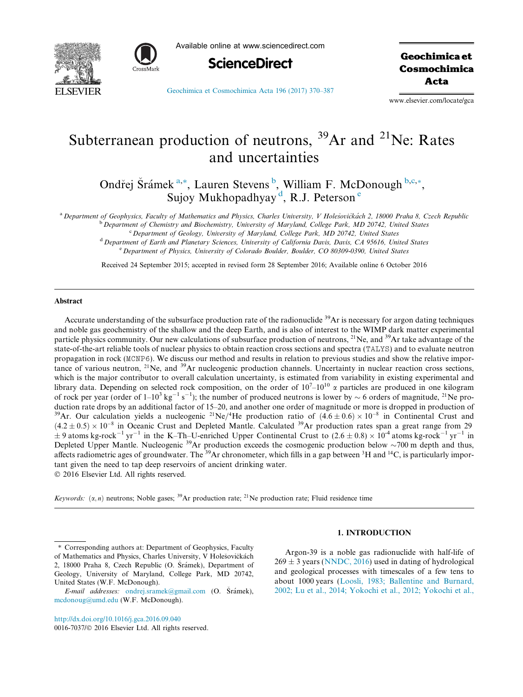



Available online at www.sciencedirect.com



Geochimica et Cosmochimica Acta

[Geochimica et Cosmochimica Acta 196 \(2017\) 370–387](http://dx.doi.org/10.1016/j.gca.2016.09.040)

www.elsevier.com/locate/gca

# Subterranean production of neutrons,  $^{39}Ar$  and  $^{21}Ne$ : Rates and uncertainties

Ondřej Šrámek<sup>a,\*</sup>, Lauren Stevens<sup>b</sup>, William F. McDonough b,c,\*, Sujoy Mukhopadhyay<sup>d</sup>, R.J. Peterson<sup>e</sup>

<sup>a</sup> Department of Geophysics, Faculty of Mathematics and Physics, Charles University, V Holešovičkách 2, 18000 Praha 8, Czech Republic

<sup>b</sup> Department of Chemistry and Biochemistry, University of Maryland, College Park, MD 20742, United States

<sup>c</sup> Department of Geology, University of Maryland, College Park, MD 20742, United States <sup>d</sup> Department of Earth and Planetary Sciences, University of California Davis, Davis, CA 95616, United States

<sup>e</sup> Department of Physics, University of Colorado Boulder, Boulder, CO 80309-0390, United States

Received 24 September 2015; accepted in revised form 28 September 2016; Available online 6 October 2016

### Abstract

Accurate understanding of the subsurface production rate of the radionuclide  $39Ar$  is necessary for argon dating techniques and noble gas geochemistry of the shallow and the deep Earth, and is also of interest to the WIMP dark matter experimental particle physics community. Our new calculations of subsurface production of neutrons, <sup>21</sup>Ne, and <sup>39</sup>Ar take advantage of the state-of-the-art reliable tools of nuclear physics to obtain reaction cross sections and spectra (TALYS) and to evaluate neutron propagation in rock (MCNP6). We discuss our method and results in relation to previous studies and show the relative importance of various neutron,  $2^{1}$ Ne, and  $3^{9}$ Ar nucleogenic production channels. Uncertainty in nuclear reaction cross sections, which is the major contributor to overall calculation uncertainty, is estimated from variability in existing experimental and library data. Depending on selected rock composition, on the order of  $10^7-10^{10}$   $\alpha$  particles are produced in one kilogram of rock per year (order of  $1-10^3$  kg<sup>-1</sup> s<sup>-1</sup>); the number of produced neutrons is lower by  $\sim$  6 orders of magnitude, <sup>21</sup>Ne production rate drops by an additional factor of 15–20, and another one order of magnitude or more is dropped in production of <sup>39</sup>Ar. Our calculation yields a nucleogenic <sup>21</sup>Ne/<sup>4</sup>He production ratio of  $(4.6 \pm 0.6) \times 10^{-8}$  in Continental Crust and  $(4.2 \pm 0.5) \times 10^{-8}$  in Oceanic Crust and Depleted Mantle. Calculated <sup>39</sup>Ar production rates span a great range from 29  $\pm$  9 atoms kg-rock<sup>-1</sup> yr<sup>-1</sup> in the K–Th–U-enriched Upper Continental Crust to (2.6  $\pm$  0.8)  $\times$  10<sup>-4</sup> atoms kg-rock<sup>-1</sup> yr<sup>-1</sup> in Depleted Upper Mantle. Nucleogenic <sup>39</sup>Ar production exceeds the cosmogenic production below  $\sim$ 700 m depth and thus, affects radiometric ages of groundwater. The <sup>39</sup>Ar chronometer, which fills in a gap between <sup>3</sup>H and tant given the need to tap deep reservoirs of ancient drinking water. 2016 Elsevier Ltd. All rights reserved.

Keywords:  $(\alpha, n)$  neutrons; Noble gases; <sup>39</sup>Ar production rate; <sup>21</sup>Ne production rate; Fluid residence time

⇑ Corresponding authors at: Department of Geophysics, Faculty of Mathematics and Physics, Charles University, V Holešovičkách 2, 18000 Praha 8, Czech Republic (O. Srámek), Department of Geology, University of Maryland, College Park, MD 20742, United States (W.F. McDonough).

<http://dx.doi.org/10.1016/j.gca.2016.09.040>

0016-7037/ $\odot$  2016 Elsevier Ltd. All rights reserved.

## 1. INTRODUCTION

Argon-39 is a noble gas radionuclide with half-life of  $269 \pm 3$  years ([NNDC, 2016\)](#page-16-0) used in dating of hydrological and geological processes with timescales of a few tens to about 1000 years [\(Loosli, 1983; Ballentine and Burnard,](#page-16-0) [2002; Lu et al., 2014; Yokochi et al., 2012; Yokochi et al.,](#page-16-0)

E-mail addresses: [ondrej.sramek@gmail.com](mailto:ondrej.sramek@gmail.com) (O. Šrámek), [mcdonoug@umd.edu](mailto:mcdonoug@umd.edu) (W.F. McDonough).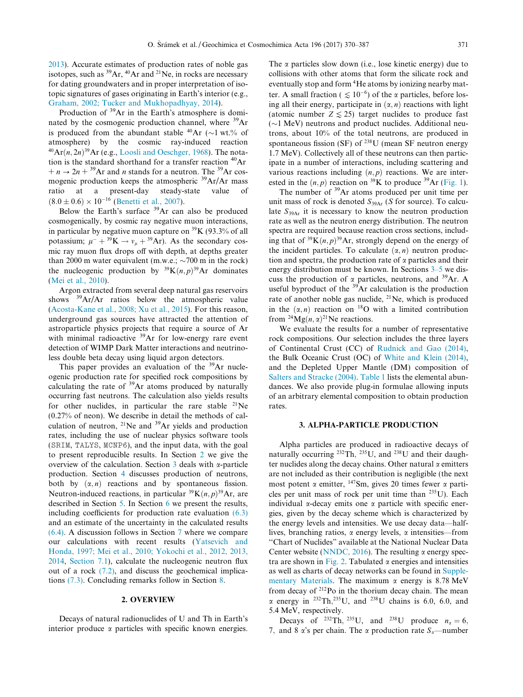[2013](#page-16-0)). Accurate estimates of production rates of noble gas isotopes, such as  ${}^{39}Ar$ ,  ${}^{40}Ar$  and  ${}^{21}Ne$ , in rocks are necessary for dating groundwaters and in proper interpretation of isotopic signatures of gases originating in Earth's interior (e.g., [Graham, 2002; Tucker and Mukhopadhyay, 2014](#page-15-0)).

Production of <sup>39</sup>Ar in the Earth's atmosphere is dominated by the cosmogenic production channel, where <sup>39</sup>Ar is produced from the abundant stable  $^{40}Ar$  ( $\sim$ 1 wt.% of atmosphere) by the cosmic ray-induced reaction  $^{40}Ar(n, 2n)^{39}Ar$  (e.g., [Loosli and Oeschger, 1968](#page-16-0)). The notation is the standard shorthand for a transfer reaction <sup>40</sup>Ar  $+n \rightarrow 2n + {}^{39}Ar$  and *n* stands for a neutron. The <sup>39</sup>Ar cosmogenic production keeps the atmospheric  $39\text{Ar/Ar}$  mass ratio at a present-day steady-state value of  $(8.0 \pm 0.6) \times 10^{-16}$  ([Benetti et al., 2007](#page-15-0)).

Below the Earth's surface  $39$ Ar can also be produced cosmogenically, by cosmic ray negative muon interactions, in particular by negative muon capture on  ${}^{39}K$  (93.3% of all potassium;  $\mu^- + {}^{39}\text{K} \rightarrow v_\mu + {}^{39}\text{Ar}$ ). As the secondary cosmic ray muon flux drops off with depth, at depths greater than 2000 m water equivalent (m.w.e.;  $\sim$ 700 m in the rock) the nucleogenic production by  ${}^{39}K(n,p){}^{39}Ar$  dominates [\(Mei et al., 2010](#page-16-0)).

Argon extracted from several deep natural gas reservoirs shows  $39Ar/Ar$  ratios below the atmospheric value [\(Acosta-Kane et al., 2008; Xu et al., 2015\)](#page-15-0). For this reason, underground gas sources have attracted the attention of astroparticle physics projects that require a source of Ar with minimal radioactive <sup>39</sup>Ar for low-energy rare event detection of WIMP Dark Matter interactions and neutrinoless double beta decay using liquid argon detectors.

This paper provides an evaluation of the  $39\text{Ar}$  nucleogenic production rate for specified rock compositions by calculating the rate of  $39\text{Ar}$  atoms produced by naturally occurring fast neutrons. The calculation also yields results for other nuclides, in particular the rare stable  $^{21}$ Ne (0.27% of neon). We describe in detail the methods of calculation of neutron,  $^{21}$ Ne and  $^{39}$ Ar yields and production rates, including the use of nuclear physics software tools (SRIM, TALYS, MCNP6), and the input data, with the goal to present reproducible results. In Section 2 we give the overview of the calculation. Section  $\overline{3}$  deals with  $\alpha$ -particle production. Section [4](#page-3-0) discusses production of neutrons, both by  $(\alpha, n)$  reactions and by spontaneous fission. Neutron-induced reactions, in particular  ${}^{39}K(n,p){}^{39}Ar$ , are described in Section [5](#page-6-0). In Section [6](#page-6-0) we present the results, including coefficients for production rate evaluation [\(6.3\)](#page-9-0) and an estimate of the uncertainty in the calculated results [\(6.4\).](#page-9-0) A discussion follows in Section [7](#page-12-0) where we compare our calculations with recent results [\(Yatsevich and](#page-17-0) [Honda, 1997; Mei et al., 2010; Yokochi et al., 2012, 2013,](#page-17-0) [2014](#page-17-0), [Section 7.1\)](#page-12-0), calculate the nucleogenic neutron flux out of a rock [\(7.2\)](#page-13-0), and discuss the geochemical implications [\(7.3\)](#page-13-0). Concluding remarks follow in Section [8](#page-14-0).

#### 2. OVERVIEW

Decays of natural radionuclides of U and Th in Earth's interior produce  $\alpha$  particles with specific known energies.

The  $\alpha$  particles slow down (i.e., lose kinetic energy) due to collisions with other atoms that form the silicate rock and eventually stop and form 4He atoms by ionizing nearby matter. A small fraction (  $\leq 10^{-6}$ ) of the  $\alpha$  particles, before losing all their energy, participate in  $(\alpha, n)$  reactions with light (atomic number  $Z \le 25$ ) target nuclides to produce fast  $(\sim)1$  MeV) neutrons and product nuclides. Additional neutrons, about 10% of the total neutrons, are produced in spontaneous fission (SF) of  $^{238}$ U (mean SF neutron energy 1.7 MeV). Collectively all of these neutrons can then participate in a number of interactions, including scattering and various reactions including  $(n, p)$  reactions. We are interested in the  $(n, p)$  reaction on <sup>39</sup>K to produce <sup>39</sup>Ar [\(Fig. 1\)](#page-2-0).

The number of <sup>39</sup>Ar atoms produced per unit time per unit mass of rock is denoted  $S_{39Ar}$  (S for source). To calculate  $S_{394r}$  it is necessary to know the neutron production rate as well as the neutron energy distribution. The neutron spectra are required because reaction cross sections, including that of  $39K(n, p)^{39}Ar$ , strongly depend on the energy of the incident particles. To calculate  $(\alpha, n)$  neutron production and spectra, the production rate of  $\alpha$  particles and their energy distribution must be known. In Sections 3–5 we discuss the production of  $\alpha$  particles, neutrons, and <sup>39</sup>Ar. A useful byproduct of the  $39\text{Ar}$  calculation is the production rate of another noble gas nuclide, 21Ne, which is produced in the  $(\alpha, n)$  reaction on <sup>18</sup>O with a limited contribution from  $^{24}Mg(n, \alpha)^{21}$ Ne reactions.

We evaluate the results for a number of representative rock compositions. Our selection includes the three layers of Continental Crust (CC) of [Rudnick and Gao \(2014\)](#page-16-0), the Bulk Oceanic Crust (OC) of [White and Klein \(2014\)](#page-17-0), and the Depleted Upper Mantle (DM) composition of [Salters and Stracke \(2004\).](#page-16-0) [Table 1](#page-3-0) lists the elemental abundances. We also provide plug-in formulae allowing inputs of an arbitrary elemental composition to obtain production rates.

## 3. ALPHA-PARTICLE PRODUCTION

Alpha particles are produced in radioactive decays of naturally occurring <sup>232</sup>Th, <sup>235</sup>U, and <sup>238</sup>U and their daughter nuclides along the decay chains. Other natural  $\alpha$  emitters are not included as their contribution is negligible (the next most potent  $\alpha$  emitter, <sup>147</sup>Sm, gives 20 times fewer  $\alpha$  particles per unit mass of rock per unit time than 235U). Each individual  $\alpha$ -decay emits one  $\alpha$  particle with specific energies, given by the decay scheme which is characterized by the energy levels and intensities. We use decay data—halflives, branching ratios,  $\alpha$  energy levels,  $\alpha$  intensities—from ''Chart of Nuclides" available at the National Nuclear Data Center website ([NNDC, 2016](#page-16-0)). The resulting  $\alpha$  energy spec-tra are shown in [Fig. 2.](#page-4-0) Tabulated  $\alpha$  energies and intensities as well as charts of decay networks can be found in [Supple](#page-15-0)[mentary Materials.](#page-15-0) The maximum  $\alpha$  energy is 8.78 MeV from decay of 212Po in the thorium decay chain. The mean  $\alpha$  energy in <sup>232</sup>Th,<sup>235</sup>U, and <sup>238</sup>U chains is 6.0, 6.0, and 5.4 MeV, respectively.

Decays of <sup>232</sup>Th, <sup>235</sup>U, and <sup>238</sup>U produce  $n_{\alpha} = 6$ , 7, and 8  $\alpha$ 's per chain. The  $\alpha$  production rate  $S_{\alpha}$ —number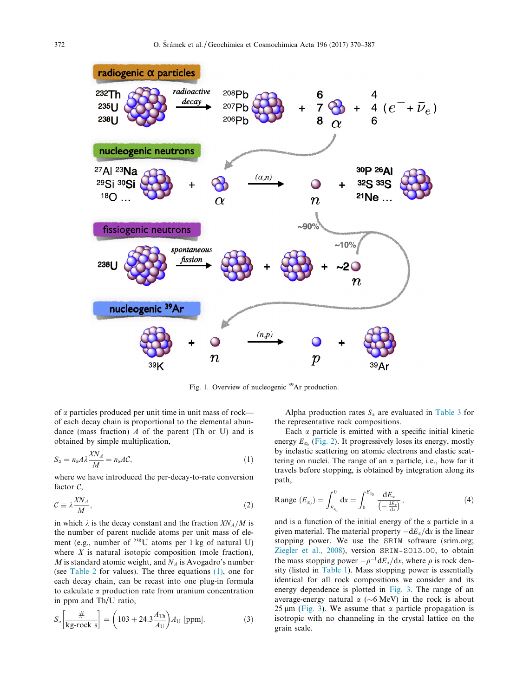<span id="page-2-0"></span>

Fig. 1. Overview of nucleogenic <sup>39</sup>Ar production.

of  $\alpha$  particles produced per unit time in unit mass of rock of each decay chain is proportional to the elemental abundance (mass fraction)  $\Lambda$  of the parent (Th or U) and is obtained by simple multiplication,

$$
S_{\alpha} = n_{\alpha} A \lambda \frac{X N_A}{M} = n_{\alpha} A C, \qquad (1)
$$

where we have introduced the per-decay-to-rate conversion factor  $\mathcal{C}$ ,

$$
\mathcal{C} \equiv \lambda \frac{X N_A}{M},\tag{2}
$$

in which  $\lambda$  is the decay constant and the fraction  $X_{M}/M$  is the number of parent nuclide atoms per unit mass of element (e.g., number of  $^{238}$ U atoms per 1 kg of natural U) where  $X$  is natural isotopic composition (mole fraction), M is standard atomic weight, and  $N_A$  is Avogadro's number (see [Table 2](#page-4-0) for values). The three equations (1), one for each decay chain, can be recast into one plug-in formula to calculate  $\alpha$  production rate from uranium concentration in ppm and Th/U ratio,

$$
S_{\alpha} \left[ \frac{\#}{\text{kg-rock s}} \right] = \left( 103 + 24.3 \frac{A_{\text{Th}}}{A_{\text{U}}} \right) A_{\text{U}} \text{[ppm]}.
$$
 (3)

Alpha production rates  $S_{\alpha}$  are evaluated in [Table 3](#page-4-0) for the representative rock compositions.

Each  $\alpha$  particle is emitted with a specific initial kinetic energy  $E_{\alpha_0}$  [\(Fig. 2](#page-4-0)). It progressively loses its energy, mostly by inelastic scattering on atomic electrons and elastic scattering on nuclei. The range of an  $\alpha$  particle, i.e., how far it travels before stopping, is obtained by integration along its path,

Range 
$$
(E_{x_0}) = \int_{E_{x_0}}^0 dx = \int_0^{E_{x_0}} \frac{dE_x}{\left(-\frac{dE_x}{dx}\right)},
$$
 (4)

and is a function of the initial energy of the  $\alpha$  particle in a given material. The material property  $-dE_\alpha/dx$  is the linear stopping power. We use the SRIM software (srim.org; [Ziegler et al., 2008](#page-17-0)), version SRIM-2013.00, to obtain the mass stopping power  $-\rho^{-1}dE_\alpha/dx$ , where  $\rho$  is rock density (listed in [Table 1](#page-3-0)). Mass stopping power is essentially identical for all rock compositions we consider and its energy dependence is plotted in [Fig. 3](#page-5-0). The range of an average-energy natural  $\alpha$  ( $\sim$ 6 MeV) in the rock is about 25  $\mu$ m [\(Fig. 3\)](#page-5-0). We assume that  $\alpha$  particle propagation is isotropic with no channeling in the crystal lattice on the grain scale.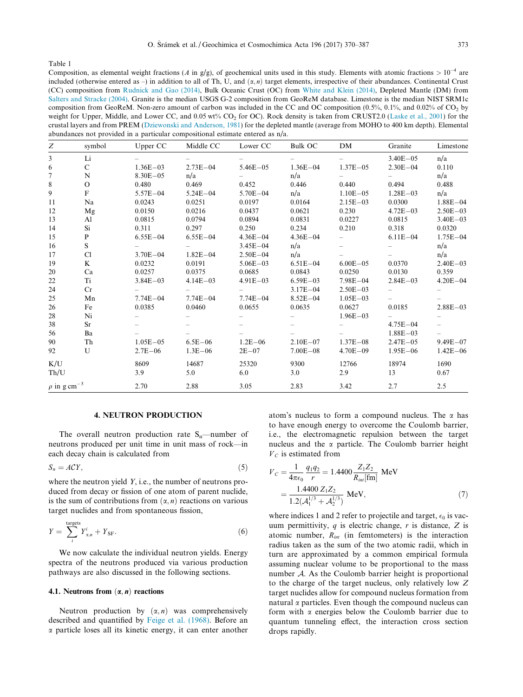<span id="page-3-0"></span>Composition, as elemental weight fractions (A in g/g), of geochemical units used in this study. Elements with atomic fractions  $> 10^{-4}$  are included (otherwise entered as –) in addition to all of Th. U, and  $(\alpha, n)$  target elements, irrespective of their abundances. Continental Crust (CC) composition from [Rudnick and Gao \(2014\),](#page-16-0) Bulk Oceanic Crust (OC) from [White and Klein \(2014\)](#page-17-0), Depleted Mantle (DM) from [Salters and Stracke \(2004\)](#page-16-0). Granite is the median USGS G-2 composition from GeoReM database. Limestone is the median NIST SRM1c composition from GeoReM. Non-zero amount of carbon was included in the CC and OC composition  $(0.5\%, 0.1\%$ , and  $0.02\%$  of CO<sub>2</sub> by weight for Upper, Middle, and Lower CC, and  $0.05 \text{ wt\% CO}_2$  for OC). Rock density is taken from CRUST2.0 [\(Laske et al., 2001\)](#page-16-0) for the crustal layers and from PREM [\(Dziewonski and Anderson, 1981](#page-15-0)) for the depleted mantle (average from MOHO to 400 km depth). Elemental abundances not provided in a particular compositional estimate entered as n/a.

| Ζ                            | symbol        | Upper CC     | Middle CC    | Lower CC     | Bulk OC      | DM                       | Granite      | Limestone    |
|------------------------------|---------------|--------------|--------------|--------------|--------------|--------------------------|--------------|--------------|
| 3                            | Li            |              |              |              |              |                          | $3.40E - 05$ | n/a          |
| 6                            | $\mathcal{C}$ | $1.36E - 03$ | $2.73E - 04$ | $5.46E - 05$ | $1.36E - 04$ | $1.37E - 0.5$            | $2.30E - 04$ | 0.110        |
| 7                            | N             | $8.30E - 05$ | n/a          | $-$          | n/a          |                          |              | n/a          |
| $\,$ 8 $\,$                  | $\Omega$      | 0.480        | 0.469        | 0.452        | 0.446        | 0.440                    | 0.494        | 0.488        |
| 9                            | F             | $5.57E - 04$ | $5.24E - 04$ | $5.70E - 04$ | n/a          | $1.10E - 05$             | $1.28E - 03$ | n/a          |
| 11                           | Na            | 0.0243       | 0.0251       | 0.0197       | 0.0164       | $2.15E - 03$             | 0.0300       | $1.88E - 04$ |
| 12                           | Mg            | 0.0150       | 0.0216       | 0.0437       | 0.0621       | 0.230                    | $4.72E - 03$ | $2.50E - 03$ |
| 13                           | Al            | 0.0815       | 0.0794       | 0.0894       | 0.0831       | 0.0227                   | 0.0815       | $3.40E - 03$ |
| 14                           | Si            | 0.311        | 0.297        | 0.250        | 0.234        | 0.210                    | 0.318        | 0.0320       |
| 15                           | P             | $6.55E - 04$ | $6.55E - 04$ | $4.36E - 04$ | $4.36E - 04$ | $-$                      | $6.11E - 04$ | $1.75E - 04$ |
| 16                           | S             |              |              | $3.45E - 04$ | n/a          | $\overline{\phantom{0}}$ |              | n/a          |
| 17                           | Cl            | $3.70E - 04$ | $1.82E - 04$ | $2.50E - 04$ | n/a          |                          |              | n/a          |
| 19                           | K             | 0.0232       | 0.0191       | $5.06E - 03$ | $6.51E - 04$ | $6.00E - 05$             | 0.0370       | $2.40E - 03$ |
| 20                           | Ca            | 0.0257       | 0.0375       | 0.0685       | 0.0843       | 0.0250                   | 0.0130       | 0.359        |
| 22                           | Ti            | $3.84E - 03$ | $4.14E - 03$ | $4.91E - 03$ | $6.59E - 03$ | $7.98E - 04$             | $2.84E - 03$ | $4.20E - 04$ |
| 24                           | Cr            |              |              |              | $3.17E - 04$ | $2.50E - 03$             |              |              |
| 25                           | Mn            | $7.74E - 04$ | $7.74E - 04$ | $7.74E - 04$ | $8.52E - 04$ | $1.05E - 03$             |              |              |
| 26                           | Fe            | 0.0385       | 0.0460       | 0.0655       | 0.0635       | 0.0627                   | 0.0185       | $2.88E - 03$ |
| 28                           | Ni            |              |              |              |              | $1.96E - 03$             |              |              |
| 38                           | Sr            |              |              |              |              |                          | $4.75E - 04$ |              |
| 56                           | Ba            |              |              |              |              |                          | $1.88E - 03$ |              |
| 90                           | Th            | $1.05E - 05$ | $6.5E - 06$  | $1.2E - 06$  | $2.10E - 07$ | $1.37E - 08$             | $2.47E - 05$ | $9.49E - 07$ |
| 92                           | $\mathbf{U}$  | $2.7E - 06$  | $1.3E - 06$  | $2E-07$      | $7.00E - 08$ | $4.70E - 09$             | $1.95E - 06$ | $1.42E - 06$ |
| K/U                          |               | 8609         | 14687        | 25320        | 9300         | 12766                    | 18974        | 1690         |
| Th/U                         |               | 3.9          | 5.0          | 6.0          | 3.0          | 2.9                      | 13           | 0.67         |
| $\rho$ in g cm <sup>-3</sup> |               | 2.70         | 2.88         | 3.05         | 2.83         | 3.42                     | 2.7          | 2.5          |

## 4. NEUTRON PRODUCTION

The overall neutron production rate  $S_n$ —number of neutrons produced per unit time in unit mass of rock—in each decay chain is calculated from

$$
S_n = A\mathcal{C}Y,\tag{5}
$$

where the neutron yield Y, i.e., the number of neutrons produced from decay or fission of one atom of parent nuclide, is the sum of contributions from  $(\alpha, n)$  reactions on various target nuclides and from spontaneous fission,

$$
Y = \sum_{i}^{\text{targets}} Y_{\alpha,n}^{i} + Y_{\text{SF}}.
$$
 (6)

We now calculate the individual neutron yields. Energy spectra of the neutrons produced via various production pathways are also discussed in the following sections.

## 4.1. Neutrons from  $(\alpha, n)$  reactions

Neutron production by  $(\alpha, n)$  was comprehensively described and quantified by [Feige et al. \(1968\).](#page-15-0) Before an  $\alpha$  particle loses all its kinetic energy, it can enter another

atom's nucleus to form a compound nucleus. The  $\alpha$  has to have enough energy to overcome the Coulomb barrier, i.e., the electromagnetic repulsion between the target nucleus and the  $\alpha$  particle. The Coulomb barrier height  $V_c$  is estimated from

$$
V_C = \frac{1}{4\pi\epsilon_0} \frac{q_1 q_2}{r} = 1.4400 \frac{Z_1 Z_2}{R_{int} [\text{fm}]} \text{ MeV}
$$
  
= 
$$
\frac{1.4400 Z_1 Z_2}{1.2(A_1^{1/3} + A_2^{1/3})} \text{ MeV},
$$
 (7)

where indices 1 and 2 refer to projectile and target,  $\epsilon_0$  is vacuum permittivity,  $q$  is electric change,  $r$  is distance,  $Z$  is atomic number,  $R_{int}$  (in femtometers) is the interaction radius taken as the sum of the two atomic radii, which in turn are approximated by a common empirical formula assuming nuclear volume to be proportional to the mass number A. As the Coulomb barrier height is proportional to the charge of the target nucleus, only relatively low Z target nuclides allow for compound nucleus formation from natural  $\alpha$  particles. Even though the compound nucleus can form with  $\alpha$  energies below the Coulomb barrier due to quantum tunneling effect, the interaction cross section drops rapidly.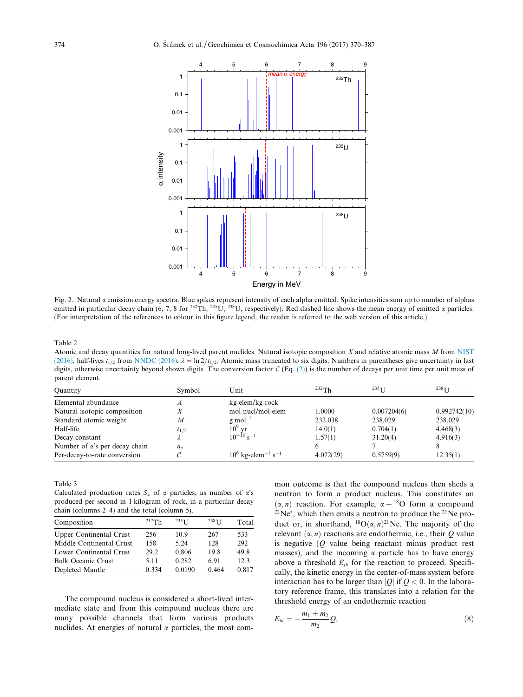<span id="page-4-0"></span>

Fig. 2. Natural  $\alpha$  emission energy spectra. Blue spikes represent intensity of each alpha emitted. Spike intensities sum up to number of alphas emitted in particular decay chain (6, 7, 8 for <sup>232</sup>Th, <sup>235</sup>U, <sup>238</sup>U, respectively). Red dashed line shows the mean energy of emitted  $\alpha$  particles. (For interpretation of the references to colour in this figure legend, the reader is referred to the web version of this article.)

Atomic and decay quantities for natural long-lived parent nuclides. Natural isotopic composition  $X$  and relative atomic mass  $M$  from [NIST](#page-16-0) [\(2016\),](#page-16-0) half-lives  $t_{1/2}$  from [NNDC \(2016\),](#page-16-0)  $\lambda = \ln 2/t_{1/2}$ . Atomic mass truncated to six digits. Numbers in parentheses give uncertainty in last digits, otherwise uncertainty beyond shown digits. The conversion factor  $C$  (Eq. [\(2\)](#page-2-0)) is the number of decays per unit time per unit mass of parent element.

| Quantity                              | Symbol       | Unit                                         | $232$ Th  | $235$ <sub>I</sub> J | $238$ <sup>I</sup> J |
|---------------------------------------|--------------|----------------------------------------------|-----------|----------------------|----------------------|
| Elemental abundance                   | А            | kg-elem/kg-rock                              |           |                      |                      |
| Natural isotopic composition          |              | mol-nucl/mol-elem                            | 0000.     | 0.007204(6)          | 0.992742(10)         |
| Standard atomic weight                | M            | $g$ mol <sup>-1</sup>                        | 232.038   | 238.029              | 238.029              |
| Half-life                             | $t_{1/2}$    | $10^9$ yr                                    | 14.0(1)   | 0.704(1)             | 4.468(3)             |
| Decay constant                        |              | $10^{-18}$ s <sup>-1</sup>                   | 1.57(1)   | 31.20(4)             | 4.916(3)             |
| Number of $\alpha$ 's per decay chain | $n_{\gamma}$ |                                              |           |                      |                      |
| Per-decay-to-rate conversion          |              | $10^6$ kg-elem <sup>-1</sup> s <sup>-1</sup> | 4.072(29) | 0.5759(9)            | 12.35(1)             |

Table 3

Calculated production rates  $S_n$  of  $\alpha$  particles, as number of  $\alpha$ 's produced per second in 1 kilogram of rock, in a particular decay chain (columns 2–4) and the total (column 5).

| Composition                    | 232Th | $235$ T T | $238$ <sup>T</sup> | Total |
|--------------------------------|-------|-----------|--------------------|-------|
| <b>Upper Continental Crust</b> | 256   | 10.9      | 267                | 533   |
| Middle Continental Crust       | 158   | 5.24      | 128                | 292   |
| Lower Continental Crust        | 29.2  | 0.806     | 19.8               | 49.8  |
| <b>Bulk Oceanic Crust</b>      | 5.11  | 0.282     | 6.91               | 12.3  |
| Depleted Mantle                | 0.334 | 0.0190    | 0.464              | 0.817 |
|                                |       |           |                    |       |

The compound nucleus is considered a short-lived intermediate state and from this compound nucleus there are many possible channels that form various products nuclides. At energies of natural  $\alpha$  particles, the most common outcome is that the compound nucleus then sheds a neutron to form a product nucleus. This constitutes an  $(\alpha, n)$  reaction. For example,  $\alpha + {}^{18}O$  form a compound  $22Ne^*$ , which then emits a neutron to produce the  $21Ne$  product or, in shorthand,  ${}^{18}O(\alpha, n)^{21}$ Ne. The majority of the relevant  $(\alpha, n)$  reactions are endothermic, i.e., their Q value is negative  $(Q)$  value being reactant minus product rest masses), and the incoming  $\alpha$  particle has to have energy above a threshold  $E<sub>th</sub>$  for the reaction to proceed. Specifically, the kinetic energy in the center-of-mass system before interaction has to be larger than |Q| if  $Q < 0$ . In the laboratory reference frame, this translates into a relation for the threshold energy of an endothermic reaction

$$
E_{th} = -\frac{m_1 + m_2}{m_2} Q,
$$
\t(8)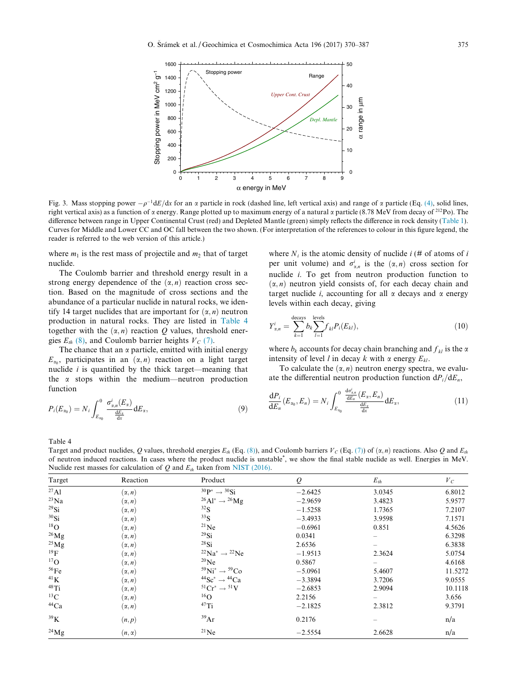<span id="page-5-0"></span>

Fig. 3. Mass stopping power  $-\rho^{-1}dE/dx$  for an  $\alpha$  particle in rock (dashed line, left vertical axis) and range of  $\alpha$  particle (Eq. [\(4\)](#page-2-0), solid lines, right vertical axis) as a function of  $\alpha$  energy. Range plotted up to maximum energy of a natural  $\alpha$  particle (8.78 MeV from decay of <sup>212</sup>Po). The difference between range in Upper Continental Crust (red) and Depleted Mantle (green) simply reflects the difference in rock density [\(Table 1\)](#page-3-0). Curves for Middle and Lower CC and OC fall between the two shown. (For interpretation of the references to colour in this figure legend, the reader is referred to the web version of this article.)

where  $m_1$  is the rest mass of projectile and  $m_2$  that of target nuclide.

The Coulomb barrier and threshold energy result in a strong energy dependence of the  $(\alpha, n)$  reaction cross section. Based on the magnitude of cross sections and the abundance of a particular nuclide in natural rocks, we identify 14 target nuclides that are important for  $(\alpha, n)$  neutron production in natural rocks. They are listed in Table 4 together with the  $(\alpha, n)$  reaction Q values, threshold energies  $E_{th}$  [\(8\),](#page-4-0) and Coulomb barrier heights  $V_c$  [\(7\)](#page-3-0).

The chance that an  $\alpha$  particle, emitted with initial energy  $E_{\alpha_0}$ , participates in an  $(\alpha, n)$  reaction on a light target nuclide  $i$  is quantified by the thick target—meaning that the  $\alpha$  stops within the medium—neutron production function

$$
P_i(E_{\alpha_0}) = N_i \int_{E_{\alpha_0}}^0 \frac{\sigma_{\alpha,n}^i(E_{\alpha})}{\frac{dE_{\alpha}}{dx}} dE_{\alpha}, \qquad (9)
$$

where  $N_i$  is the atomic density of nuclide  $i \neq 0$  of atoms of i per unit volume) and  $\sigma_{\alpha,n}^i$  is the  $(\alpha,n)$  cross section for nuclide i. To get from neutron production function to  $(\alpha, n)$  neutron yield consists of, for each decay chain and target nuclide *i*, accounting for all  $\alpha$  decays and  $\alpha$  energy levels within each decay, giving

$$
Y_{\alpha,n}^{i} = \sum_{k=1}^{\text{decays}} b_k \sum_{l=1}^{\text{levels}} f_{kl} P_i(E_{kl}),
$$
\n(10)

where  $b_k$  accounts for decay chain branching and  $f_k$  is the  $\alpha$ intensity of level l in decay k with  $\alpha$  energy  $E_{kl}$ .

To calculate the  $(\alpha, n)$  neutron energy spectra, we evaluate the differential neutron production function  $dP_i/dE_n$ ,

$$
\frac{\mathrm{d}P_i}{\mathrm{d}E_n}(E_{\alpha_0}, E_n) = N_i \int_{E_{\alpha_0}}^0 \frac{\frac{\mathrm{d}\sigma_{\alpha,n}^i}{\mathrm{d}E_n}(E_{\alpha}, E_n)}{\frac{\mathrm{d}E_{\alpha}}{\mathrm{d}x}} \mathrm{d}E_{\alpha},\tag{11}
$$

Target and product nuclides, Q values, threshold energies  $E_{th}$  (Eq. [\(8\)\)](#page-4-0), and Coulomb barriers  $V_c$  (Eq. [\(7\)\)](#page-3-0) of  $(\alpha, n)$  reactions. Also Q and  $E_{th}$ of neutron induced reactions. In cases where the product nuclide is unstable<sup>\*</sup>, we show the final stable nuclide as well. Energies in MeV. Nuclide rest masses for calculation of  $Q$  and  $E_{th}$  taken from [NIST \(2016\).](#page-16-0)

| Target          | Reaction      | Product                                          | $\varrho$ | $E_{th}$ | $V_C$   |
|-----------------|---------------|--------------------------------------------------|-----------|----------|---------|
| $^{27}$ Al      | $(\alpha, n)$ | $^{30}P^* \rightarrow ^{30}Si$                   | $-2.6425$ | 3.0345   | 6.8012  |
| $^{23}Na$       | $(\alpha, n)$ | $^{26}\text{Al}^* \rightarrow ^{26}\text{Mg}$    | $-2.9659$ | 3.4823   | 5.9577  |
| $^{29}$ Si      | $(\alpha, n)$ | $^{32}S$                                         | $-1.5258$ | 1.7365   | 7.2107  |
| 30Si            | $(\alpha, n)$ | 33 <sub>S</sub>                                  | $-3.4933$ | 3.9598   | 7.1571  |
| $^{18}$ O       | $(\alpha, n)$ | $^{21}$ Ne                                       | $-0.6961$ | 0.851    | 4.5626  |
| $^{26}Mg$       | $(\alpha, n)$ | $^{29}$ Si                                       | 0.0341    |          | 6.3298  |
| $^{25}$ Mg      | $(\alpha, n)$ | $^{28}$ Si                                       | 2.6536    |          | 6.3838  |
| $^{19}F$        | $(\alpha, n)$ | $^{22}Na^* \rightarrow ^{22}Ne$                  | $-1.9513$ | 2.3624   | 5.0754  |
| $^{17}$ O       | $(\alpha, n)$ | $^{20}$ Ne                                       | 0.5867    |          | 4.6168  |
| 56Fe            | $(\alpha, n)$ | $59\text{Ni}^* \rightarrow 59\text{Co}$          | $-5.0961$ | 5.4607   | 11.5272 |
| 41 <sub>K</sub> | $(\alpha, n)$ | $^{44}$ Sc <sup>*</sup> $\rightarrow$ $^{44}$ Ca | $-3.3894$ | 3.7206   | 9.0555  |
| $48$ Ti         | $(\alpha, n)$ | ${}^{51}Cr^* \rightarrow {}^{51}V$               | $-2.6853$ | 2.9094   | 10.1118 |
| ${}^{13}C$      | $(\alpha, n)$ | $^{16}$ O                                        | 2.2156    |          | 3.656   |
| $^{44}Ca$       | $(\alpha, n)$ | $47$ Ti                                          | $-2.1825$ | 2.3812   | 9.3791  |
| $^{39}$ K       | (n,p)         | 39Ar                                             | 0.2176    |          | n/a     |
| $^{24}Mg$       | $(n, \alpha)$ | $^{21}$ Ne                                       | $-2.5554$ | 2.6628   | n/a     |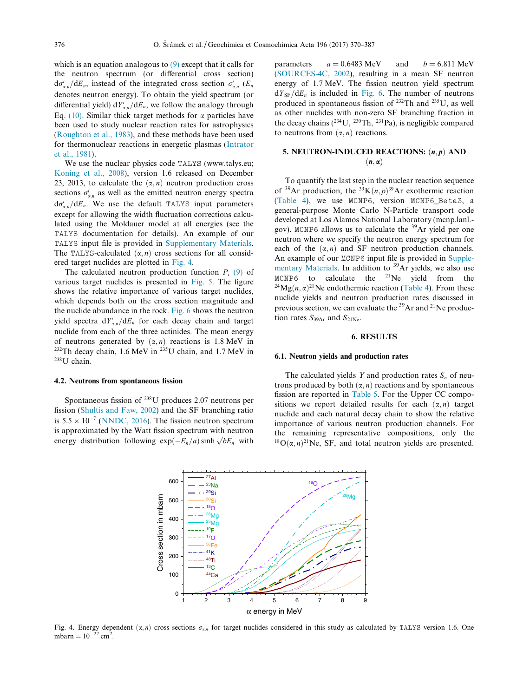<span id="page-6-0"></span>which is an equation analogous to  $(9)$  except that it calls for the neutron spectrum (or differential cross section)  $d\sigma_{\alpha,n}^{i}/dE_n$ , instead of the integrated cross section  $\sigma_{\alpha,n}^{i}$  (E<sub>n</sub> denotes neutron energy). To obtain the yield spectrum (or differential yield)  $dY_{\alpha,n}^i/dE_n$ , we follow the analogy through Eq. [\(10\)](#page-5-0). Similar thick target methods for  $\alpha$  particles have been used to study nuclear reaction rates for astrophysics ([Roughton et al., 1983](#page-16-0)), and these methods have been used for thermonuclear reactions in energetic plasmas [\(Intrator](#page-16-0) [et al., 1981](#page-16-0)).

We use the nuclear physics code TALYS (www.talys.eu; [Koning et al., 2008\)](#page-16-0), version 1.6 released on December 23, 2013, to calculate the  $(\alpha, n)$  neutron production cross sections  $\sigma_{\alpha,n}^i$  as well as the emitted neutron energy spectra  $d\sigma_{\alpha,n}^i/dE_n$ . We use the default TALYS input parameters<br>execut for allowing the width fluctuation corrections colou except for allowing the width fluctuation corrections calculated using the Moldauer model at all energies (see the TALYS documentation for details). An example of our TALYS input file is provided in [Supplementary Materials.](#page-15-0) The TALYS-calculated  $(\alpha, n)$  cross sections for all considered target nuclides are plotted in Fig. 4.

The calculated neutron production function  $P_i$  [\(9\)](#page-5-0) of various target nuclides is presented in [Fig. 5.](#page-7-0) The figure shows the relative importance of various target nuclides, which depends both on the cross section magnitude and the nuclide abundance in the rock. [Fig. 6](#page-7-0) shows the neutron yield spectra  $dY_{\alpha,n}^i/dE_n$  for each decay chain and target nuclide from each of the three actinides. The mean energy of neutrons generated by  $(\alpha, n)$  reactions is 1.8 MeV in <sup>232</sup>Th decay chain, 1.6 MeV in <sup>235</sup>U chain, and 1.7 MeV in 238U chain.

#### 4.2. Neutrons from spontaneous fission

Spontaneous fission of 238U produces 2.07 neutrons per fission ([Shultis and Faw, 2002\)](#page-16-0) and the SF branching ratio is  $5.5 \times 10^{-7}$  ([NNDC, 2016\)](#page-16-0). The fission neutron spectrum is approximated by the Watt fission spectrum with neutron energy distribution following  $exp(-E_n/a)$  sinh  $\sqrt{bE_n}$  with

parameters  $a = 0.6483 \text{ MeV}$  and  $b = 6.811 \text{ MeV}$ ([SOURCES-4C, 2002](#page-16-0)), resulting in a mean SF neutron energy of 1.7 MeV. The fission neutron yield spectrum  $dY_{\rm SF}/dE_n$  is included in [Fig. 6.](#page-7-0) The number of neutrons produced in spontaneous fission of 232Th and 235U, as well as other nuclides with non-zero SF branching fraction in the decay chains  $(^{234}U, ^{230}Th, ^{231}Pa)$ , is negligible compared to neutrons from  $(\alpha, n)$  reactions.

# 5. NEUTRON-INDUCED REACTIONS:  $(n, p)$  AND  $(n, \alpha)$

To quantify the last step in the nuclear reaction sequence of <sup>39</sup>Ar production, the <sup>39</sup>K $(n, p)$ <sup>39</sup>Ar exothermic reaction ([Table 4\)](#page-5-0), we use MCNP6, version MCNP6\_Beta3, a general-purpose Monte Carlo N-Particle transport code developed at Los Alamos National Laboratory (mcnp.lanl. gov). MCNP6 allows us to calculate the 39Ar yield per one neutron where we specify the neutron energy spectrum for each of the  $(\alpha, n)$  and SF neutron production channels. An example of our MCNP6 input file is provided in [Supple](#page-15-0)[mentary Materials](#page-15-0). In addition to <sup>39</sup>Ar yields, we also use<br>MCNP6 to calculate the <sup>21</sup>Ne yield from the <sup>24</sup>Mg $(n, \alpha)$ <sup>21</sup>Ne endothermic reaction ([Table 4](#page-5-0)). From these nuclide yields and neutron production rates discussed in previous section, we can evaluate the  $^{39}$ Ar and  $^{21}$ Ne production rates  $S_{39Ar}$  and  $S_{21Ne}$ .

### 6. RESULTS

## 6.1. Neutron yields and production rates

The calculated yields Y and production rates  $S_n$  of neutrons produced by both  $(\alpha, n)$  reactions and by spontaneous fission are reported in [Table 5.](#page-8-0) For the Upper CC compositions we report detailed results for each  $(\alpha, n)$  target nuclide and each natural decay chain to show the relative importance of various neutron production channels. For the remaining representative compositions, only the  $^{18}O(\alpha, n)^{21}$ Ne, SF, and total neutron yields are presented.



Fig. 4. Energy dependent  $(\alpha, n)$  cross sections  $\sigma_{\alpha,n}$  for target nuclides considered in this study as calculated by TALYS version 1.6. One mbarn =  $10^{-27}$  cm<sup>2</sup>.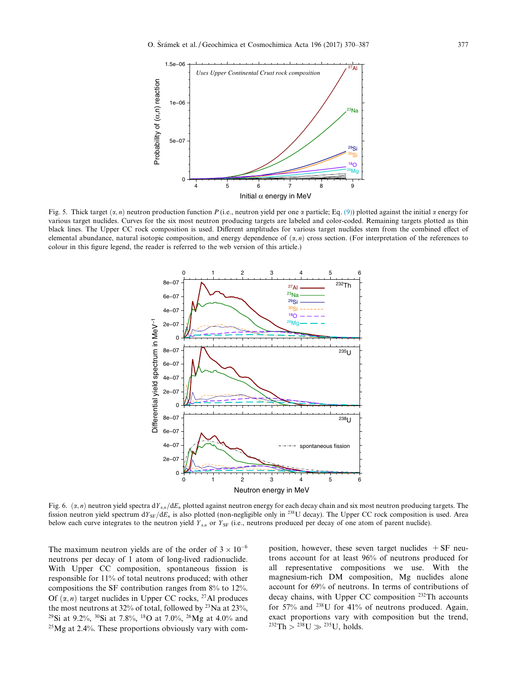<span id="page-7-0"></span>

Fig. 5. Thick target  $(\alpha, n)$  neutron production function P (i.e., neutron yield per one  $\alpha$  particle; Eq. [\(9\)](#page-5-0)) plotted against the initial  $\alpha$  energy for various target nuclides. Curves for the six most neutron producing targets are labeled and color-coded. Remaining targets plotted as thin black lines. The Upper CC rock composition is used. Different amplitudes for various target nuclides stem from the combined effect of elemental abundance, natural isotopic composition, and energy dependence of  $(\alpha, n)$  cross section. (For interpretation of the references to colour in this figure legend, the reader is referred to the web version of this article.)



Fig. 6.  $(\alpha, n)$  neutron yield spectra dY<sub>xn</sub>/dE<sub>n</sub> plotted against neutron energy for each decay chain and six most neutron producing targets. The fission neutron yield spectrum  $dY_{SF}/dE_n$  is also plotted (non-negligible only in <sup>238</sup>U decay). The Upper CC rock composition is used. Area below each curve integrates to the neutron yield  $Y_{\alpha,n}$  or  $Y_{\rm SF}$  (i.e., neutrons produced per decay of one atom of parent nuclide).

The maximum neutron yields are of the order of  $3 \times 10^{-6}$ neutrons per decay of 1 atom of long-lived radionuclide. With Upper CC composition, spontaneous fission is responsible for 11% of total neutrons produced; with other compositions the SF contribution ranges from 8% to 12%. Of  $(\alpha, n)$  target nuclides in Upper CC rocks, <sup>27</sup>Al produces the most neutrons at 32% of total, followed by  $23$ Na at 23%, <sup>29</sup>Si at 9.2%, <sup>30</sup>Si at 7.8%, <sup>18</sup>O at 7.0%, <sup>26</sup>Mg at 4.0% and 25Mg at 2.4%. These proportions obviously vary with composition, however, these seven target nuclides  $+ SF$  neutrons account for at least 96% of neutrons produced for all representative compositions we use. With the magnesium-rich DM composition, Mg nuclides alone account for 69% of neutrons. In terms of contributions of decay chains, with Upper CC composition 232Th accounts for 57% and 238U for 41% of neutrons produced. Again, exact proportions vary with composition but the trend,  $^{232}Th > ^{238}U \gg ^{235}U$ , holds.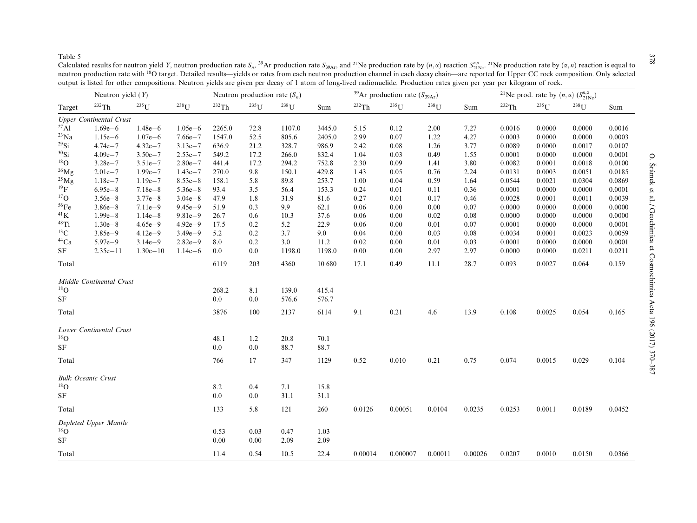<span id="page-8-0"></span>Calculated results for neutron yield Y, neutron production rate S<sub>n</sub>,<sup>39</sup>Ar production rate S<sub>39Ar</sub>, and <sup>21</sup>Ne production rate by  $(n, \alpha)$  reaction S<sub>21Ne</sub>. <sup>21</sup>Ne production rate by  $(\alpha, n)$  reaction is equal to neutron production rate with <sup>18</sup>O target. Detailed results—yields or rates from each neutron production channel in each decay chain—are reported for Upper CC rock composition. Only selected output is listed for other compositions. Neutron yields are given per decay of 1 atom of long-lived radionuclide. Production rates given per year per kilogram of rock.

|                     | Neutron yield $(Y)$            |              |             | Neutron production rate $(S_n)$ |         |         | <sup>39</sup> Ar production rate ( $S_{39Ar}$ ) |         |          | <sup>21</sup> Ne prod. rate by $(n, \alpha)$ $(S_{21Ne}^{n, \alpha})$ |         |        |         |         |        |
|---------------------|--------------------------------|--------------|-------------|---------------------------------|---------|---------|-------------------------------------------------|---------|----------|-----------------------------------------------------------------------|---------|--------|---------|---------|--------|
| Target              | 232Th                          | $235$ U      | $238$ U     | 232Th                           | $235$ U | $238$ U | Sum                                             | 232Th   | $235$ U  | $238$ U                                                               | Sum     | 232Th  | $235$ U | $238$ U | Sum    |
|                     | <b>Upper Continental Crust</b> |              |             |                                 |         |         |                                                 |         |          |                                                                       |         |        |         |         |        |
| $^{27}$ Al          | $1.69e - 6$                    | $1.48e - 6$  | $1.05e-6$   | 2265.0                          | 72.8    | 1107.0  | 3445.0                                          | 5.15    | 0.12     | 2.00                                                                  | 7.27    | 0.0016 | 0.0000  | 0.0000  | 0.0016 |
| $^{23}Na$           | $1.15e-6$                      | $1.07e-6$    | $7.66e - 7$ | 1547.0                          | 52.5    | 805.6   | 2405.0                                          | 2.99    | 0.07     | 1.22                                                                  | 4.27    | 0.0003 | 0.0000  | 0.0000  | 0.0003 |
| $^{29}$ Si          | $4.74e - 7$                    | $4.32e - 7$  | $3.13e - 7$ | 636.9                           | 21.2    | 328.7   | 986.9                                           | 2.42    | 0.08     | 1.26                                                                  | 3.77    | 0.0089 | 0.0000  | 0.0017  | 0.0107 |
| $30$ Si             | $4.09e - 7$                    | $3.50e - 7$  | $2.53e - 7$ | 549.2                           | 17.2    | 266.0   | 832.4                                           | 1.04    | 0.03     | 0.49                                                                  | 1.55    | 0.0001 | 0.0000  | 0.0000  | 0.0001 |
| $^{18}$ O           | $3.28e - 7$                    | $3.51e - 7$  | $2.80e - 7$ | 441.4                           | 17.2    | 294.2   | 752.8                                           | 2.30    | 0.09     | 1.41                                                                  | 3.80    | 0.0082 | 0.0001  | 0.0018  | 0.0100 |
| $^{26}\mathrm{Mg}$  | $2.01e - 7$                    | $1.99e - 7$  | $1.43e - 7$ | 270.0                           | 9.8     | 150.1   | 429.8                                           | 1.43    | 0.05     | 0.76                                                                  | 2.24    | 0.0131 | 0.0003  | 0.0051  | 0.0185 |
| $^{25}Mg$           | $1.18e - 7$                    | $1.19e - 7$  | $8.53e - 8$ | 158.1                           | 5.8     | 89.8    | 253.7                                           | 1.00    | 0.04     | 0.59                                                                  | 1.64    | 0.0544 | 0.0021  | 0.0304  | 0.0869 |
| $^{19}F$            | $6.95e - 8$                    | $7.18e - 8$  | $5.36e - 8$ | 93.4                            | 3.5     | 56.4    | 153.3                                           | 0.24    | 0.01     | 0.11                                                                  | 0.36    | 0.0001 | 0.0000  | 0.0000  | 0.0001 |
| $^{17}$ O           | $3.56e - 8$                    | $3.77e - 8$  | $3.04e - 8$ | 47.9                            | 1.8     | 31.9    | 81.6                                            | 0.27    | 0.01     | 0.17                                                                  | 0.46    | 0.0028 | 0.0001  | 0.0011  | 0.0039 |
| 56Fe                | $3.86e - 8$                    | $7.11e-9$    | $9.45e - 9$ | 51.9                            | 0.3     | 9.9     | 62.1                                            | 0.06    | 0.00     | 0.00                                                                  | 0.07    | 0.0000 | 0.0000  | 0.0000  | 0.0000 |
| ${}^{41}\mathrm{K}$ | $1.99e - 8$                    | $1.14e-8$    | $9.81e-9$   | 26.7                            | 0.6     | 10.3    | 37.6                                            | 0.06    | 0.00     | 0.02                                                                  | 0.08    | 0.0000 | 0.0000  | 0.0000  | 0.0000 |
| $48$ Ti             | $1.30e - 8$                    | $4.65e-9$    | $4.92e - 9$ | 17.5                            | $0.2\,$ | 5.2     | 22.9                                            | 0.06    | 0.00     | 0.01                                                                  | 0.07    | 0.0001 | 0.0000  | 0.0000  | 0.0001 |
| ${}^{13}C$          | $3.85e - 9$                    | $4.12e-9$    | $3.49e - 9$ | 5.2                             | 0.2     | 3.7     | 9.0                                             | 0.04    | 0.00     | 0.03                                                                  | 0.08    | 0.0034 | 0.0001  | 0.0023  | 0.0059 |
| $^{44}Ca$           | $5.97e - 9$                    | $3.14e-9$    | $2.82e - 9$ | 8.0                             | 0.2     | 3.0     | 11.2                                            | 0.02    | 0.00     | 0.01                                                                  | 0.03    | 0.0001 | 0.0000  | 0.0000  | 0.0001 |
| SF                  | $2.35e - 11$                   | $1.30e - 10$ | $1.14e-6$   | 0.0                             | 0.0     | 1198.0  | 1198.0                                          | 0.00    | 0.00     | 2.97                                                                  | 2.97    | 0.0000 | 0.0000  | 0.0211  | 0.0211 |
| Total               |                                |              |             | 6119                            | 203     | 4360    | 10 680                                          | 17.1    | 0.49     | 11.1                                                                  | 28.7    | 0.093  | 0.0027  | 0.064   | 0.159  |
|                     | Middle Continental Crust       |              |             |                                 |         |         |                                                 |         |          |                                                                       |         |        |         |         |        |
| $^{18}$ O           |                                |              |             | 268.2                           | 8.1     | 139.0   | 415.4                                           |         |          |                                                                       |         |        |         |         |        |
| SF                  |                                |              |             | 0.0                             | 0.0     | 576.6   | 576.7                                           |         |          |                                                                       |         |        |         |         |        |
|                     |                                |              |             |                                 | 100     | 2137    |                                                 |         |          |                                                                       |         |        |         |         |        |
| Total               |                                |              |             | 3876                            |         |         | 6114                                            | 9.1     | 0.21     | 4.6                                                                   | 13.9    | 0.108  | 0.0025  | 0.054   | 0.165  |
|                     | Lower Continental Crust        |              |             |                                 |         |         |                                                 |         |          |                                                                       |         |        |         |         |        |
| ${}^{18}{\rm O}$    |                                |              |             | 48.1                            | 1.2     | 20.8    | 70.1                                            |         |          |                                                                       |         |        |         |         |        |
| $\rm{SF}$           |                                |              |             | 0.0                             | $0.0\,$ | 88.7    | 88.7                                            |         |          |                                                                       |         |        |         |         |        |
| Total               |                                |              |             | 766                             | 17      | 347     | 1129                                            | 0.52    | 0.010    | 0.21                                                                  | 0.75    | 0.074  | 0.0015  | 0.029   | 0.104  |
|                     | <b>Bulk Oceanic Crust</b>      |              |             |                                 |         |         |                                                 |         |          |                                                                       |         |        |         |         |        |
| $^{18}$ O           |                                |              |             | 8.2                             | 0.4     | 7.1     | 15.8                                            |         |          |                                                                       |         |        |         |         |        |
| $\rm{SF}$           |                                |              |             | 0.0                             | $0.0\,$ | 31.1    | 31.1                                            |         |          |                                                                       |         |        |         |         |        |
| Total               |                                |              |             | 133                             | 5.8     | 121     | 260                                             | 0.0126  | 0.00051  | 0.0104                                                                | 0.0235  | 0.0253 | 0.0011  | 0.0189  | 0.0452 |
|                     | Depleted Upper Mantle          |              |             |                                 |         |         |                                                 |         |          |                                                                       |         |        |         |         |        |
| $^{18}$ O           |                                |              |             | 0.53                            | 0.03    | 0.47    | 1.03                                            |         |          |                                                                       |         |        |         |         |        |
| SF                  |                                |              |             | 0.00                            | 0.00    | 2.09    | 2.09                                            |         |          |                                                                       |         |        |         |         |        |
| Total               |                                |              |             | 11.4                            | 0.54    | 10.5    | 22.4                                            | 0.00014 | 0.000007 | 0.00011                                                               | 0.00026 | 0.0207 | 0.0010  | 0.0150  | 0.0366 |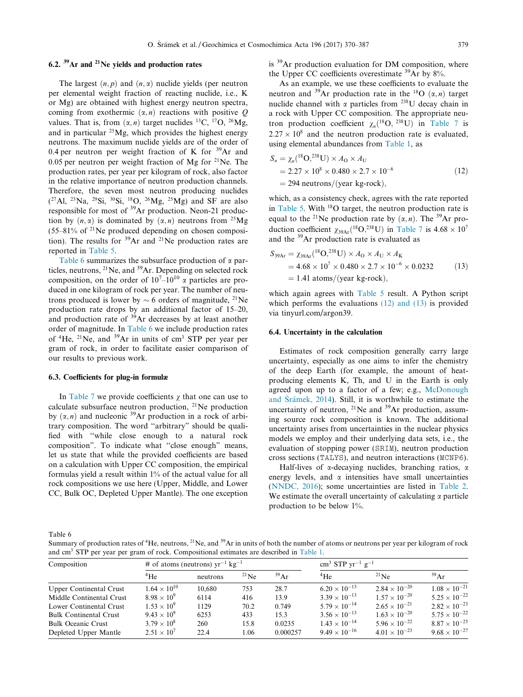# <span id="page-9-0"></span>6.2.  $39$ Ar and  $21$ Ne yields and production rates

The largest  $(n, p)$  and  $(n, \alpha)$  nuclide yields (per neutron per elemental weight fraction of reacting nuclide, i.e., K or Mg) are obtained with highest energy neutron spectra, coming from exothermic  $(\alpha, n)$  reactions with positive Q values. That is, from  $(\alpha, n)$  target nuclides <sup>13</sup>C, <sup>17</sup>O, <sup>26</sup>Mg, and in particular  $25$ Mg, which provides the highest energy neutrons. The maximum nuclide yields are of the order of 0.4 per neutron per weight fraction of K for  $39\text{Ar}$  and 0.05 per neutron per weight fraction of Mg for  $^{21}$ Ne. The production rates, per year per kilogram of rock, also factor in the relative importance of neutron production channels. Therefore, the seven most neutron producing nuclides  $(^{27}$ Al,  $^{23}$ Na,  $^{29}$ Si,  $^{30}$ Si,  $^{18}$ O,  $^{26}$ Mg,  $^{25}$ Mg) and SF are also responsible for most of 39Ar production. Neon-21 production by  $(n, \alpha)$  is dominated by  $(\alpha, n)$  neutrons from <sup>25</sup>Mg  $(55-81\%$  of <sup>21</sup>Ne produced depending on chosen composition). The results for  $39\text{Ar}$  and  $21\text{Ne}$  production rates are reported in [Table 5](#page-8-0).

Table 6 summarizes the subsurface production of  $\alpha$  particles, neutrons,  $^{21}$ Ne, and  $^{39}$ Ar. Depending on selected rock composition, on the order of  $10^{7}$ – $10^{10}$   $\alpha$  particles are produced in one kilogram of rock per year. The number of neutrons produced is lower by  $\sim$  6 orders of magnitude, <sup>21</sup>Ne production rate drops by an additional factor of 15–20, and production rate of <sup>39</sup>Ar decreases by at least another order of magnitude. In Table 6 we include production rates of  ${}^{4}$ He,  ${}^{21}$ Ne, and  ${}^{39}$ Ar in units of cm<sup>3</sup> STP per year per gram of rock, in order to facilitate easier comparison of our results to previous work.

### 6.3. Coefficients for plug-in formulæ

In [Table 7](#page-10-0) we provide coefficients  $\gamma$  that one can use to calculate subsurface neutron production,  $^{21}$ Ne production by  $(\alpha, n)$  and nucleonic <sup>39</sup>Ar production in a rock of arbitrary composition. The word ''arbitrary" should be qualified with ''while close enough to a natural rock composition". To indicate what ''close enough" means, let us state that while the provided coefficients are based on a calculation with Upper CC composition, the empirical formulas yield a result within 1% of the actual value for all rock compositions we use here (Upper, Middle, and Lower CC, Bulk OC, Depleted Upper Mantle). The one exception is <sup>39</sup>Ar production evaluation for DM composition, where the Upper CC coefficients overestimate 39Ar by 8%.

As an example, we use these coefficients to evaluate the neutron and <sup>39</sup>Ar production rate in the <sup>18</sup>O  $(\alpha, n)$  target nuclide channel with  $\alpha$  particles from <sup>238</sup>U decay chain in a rock with Upper CC composition. The appropriate neutron production coefficient  $\chi_n$ <sup>(18</sup>O<sub>2</sub>, 238<sub>U</sub>) in [Table 7](#page-10-0) is  $2.27 \times 10^8$  and the neutron production rate is evaluated, using elemental abundances from [Table 1](#page-3-0), as

$$
S_n = \chi_n({}^{18}O, {}^{238}U) \times A_0 \times A_U
$$
  
= 2.27 × 10<sup>8</sup> × 0.480 × 2.7 × 10<sup>-6</sup>  
= 294 neutrons/(year kg-rock), (12)

which, as a consistency check, agrees with the rate reported in [Table 5.](#page-8-0) With 18O target, the neutron production rate is equal to the <sup>21</sup>Ne production rate by  $(\alpha, n)$ . The <sup>39</sup>Ar production coefficient  $\chi_{39\text{Ar}}(^{18}\text{O},^{238}\text{U})$  in [Table 7](#page-10-0) is  $4.68 \times 10^7$ and the 39Ar production rate is evaluated as

$$
S_{39Ar} = \chi_{39Ar}({}^{18}O, {}^{238}U) \times A_0 \times A_U \times A_K
$$
  
= 4.68 × 10<sup>7</sup> × 0.480 × 2.7 × 10<sup>-6</sup> × 0.0232 (13)  
= 1.41 atoms/(year kg-rock), (13)

which again agrees with [Table 5](#page-8-0) result. A Python script which performs the evaluations (12) and (13) is provided via tinyurl.com/argon39.

# 6.4. Uncertainty in the calculation

Estimates of rock composition generally carry large uncertainty, especially as one aims to infer the chemistry of the deep Earth (for example, the amount of heatproducing elements K, Th, and U in the Earth is only agreed upon up to a factor of a few; e.g., [McDonough](#page-16-0) and Šrámek, 2014). Still, it is worthwhile to estimate the uncertainty of neutron, <sup>21</sup>Ne and <sup>39</sup>Ar production, assuming source rock composition is known. The additional uncertainty arises from uncertainties in the nuclear physics models we employ and their underlying data sets, i.e., the evaluation of stopping power (SRIM), neutron production cross sections (TALYS), and neutron interactions (MCNP6).

Half-lives of  $\alpha$ -decaying nuclides, branching ratios,  $\alpha$ energy levels, and  $\alpha$  intensities have small uncertainties [\(NNDC, 2016](#page-16-0)); some uncertainties are listed in [Table 2](#page-4-0). We estimate the overall uncertainty of calculating  $\alpha$  particle production to be below 1%.

Summary of production rates of <sup>4</sup>He, neutrons, <sup>21</sup>Ne, and <sup>39</sup>Ar in units of both the number of atoms or neutrons per year per kilogram of rock and cm3 STP per year per gram of rock. Compositional estimates are described in [Table 1](#page-3-0).

| Composition                    |                       | # of atoms (neutrons) $yr^{-1}$ kg <sup>-1</sup> |            | $\text{cm}^3$ STP yr <sup>-1</sup> g <sup>-1</sup> |                        |                        |                        |
|--------------------------------|-----------------------|--------------------------------------------------|------------|----------------------------------------------------|------------------------|------------------------|------------------------|
|                                | $4$ He                | neutrons                                         | $^{21}$ Ne | 39Ar                                               | $4$ He                 | $^{21}$ Ne             | 39Ar                   |
| <b>Upper Continental Crust</b> | $1.64 \times 10^{10}$ | 10.680                                           | 753        | 28.7                                               | $6.20 \times 10^{-13}$ | $2.84 \times 10^{-20}$ | $1.08 \times 10^{-21}$ |
| Middle Continental Crust       | $8.98 \times 10^{9}$  | 6114                                             | 416        | 13.9                                               | $3.39 \times 10^{-13}$ | $1.57 \times 10^{-20}$ | $5.25 \times 10^{-22}$ |
| Lower Continental Crust        | $1.53 \times 10^{9}$  | 1129                                             | 70.2       | 0.749                                              | $5.79 \times 10^{-14}$ | $2.65 \times 10^{-21}$ | $2.82 \times 10^{-23}$ |
| <b>Bulk Continental Crust</b>  | $9.43 \times 10^{9}$  | 6253                                             | 433        | 15.3                                               | $3.56 \times 10^{-13}$ | $1.63 \times 10^{-20}$ | $5.75 \times 10^{-22}$ |
| <b>Bulk Oceanic Crust</b>      | $3.79 \times 10^{8}$  | 260                                              | 15.8       | 0.0235                                             | $1.43 \times 10^{-14}$ | $5.96 \times 10^{-22}$ | $8.87 \times 10^{-25}$ |
| Depleted Upper Mantle          | $2.51 \times 10^{7}$  | 22.4                                             | 1.06       | 0.000257                                           | $9.49 \times 10^{-16}$ | $4.01 \times 10^{-23}$ | $9.68 \times 10^{-27}$ |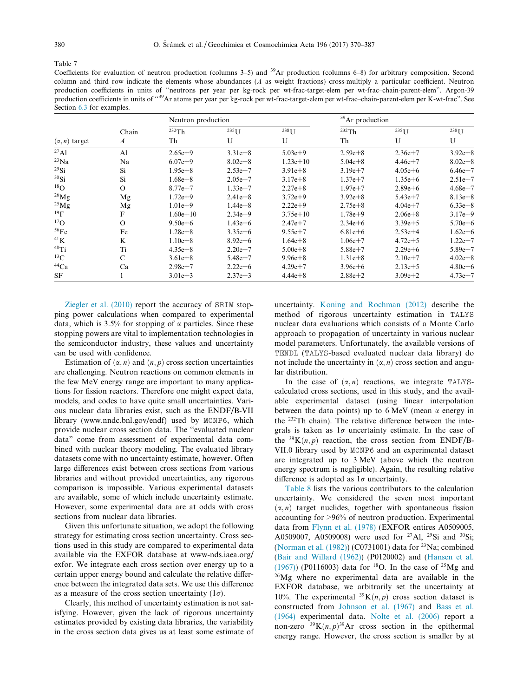<span id="page-10-0"></span>

Coefficients for evaluation of neutron production (columns 3–5) and  $^{39}Ar$  production (columns 6–8) for arbitrary composition. Second column and third row indicate the elements whose abundances  $(A$  as weight fractions) cross-multiply a particular coefficient. Neutron production coefficients in units of ''neutrons per year per kg-rock per wt-frac-target-elem per wt-frac–chain-parent-elem". Argon-39 production coefficients in units of "<sup>39</sup>Ar atoms per year per kg-rock per wt-frac-target-elem per wt-frac-chain-parent-elem per K-wt-frac". See Section [6.3](#page-9-0) for examples.

|                      |                  |              | Neutron production   |                      |             | <sup>39</sup> Ar production |                      |  |  |
|----------------------|------------------|--------------|----------------------|----------------------|-------------|-----------------------------|----------------------|--|--|
|                      | Chain            | 232Th        | $235$ <sup>I</sup> J | $238$ <sup>I</sup> J | 232Th       | $235$ <sup>I</sup> J        | $238$ <sup>I</sup> J |  |  |
| $(\alpha, n)$ target | $\boldsymbol{A}$ | Th           | U                    | U                    | Th          | U                           | U                    |  |  |
| $^{27}$ Al           | A <sub>1</sub>   | $2.65e+9$    | $3.31e + 8$          | $5.03e+9$            | $2.59e + 8$ | $2.36e + 7$                 | $3.92e + 8$          |  |  |
| $^{23}Na$            | Na               | $6.07e + 9$  | $8.02e + 8$          | $1.23e+10$           | $5.04e + 8$ | $4.46e + 7$                 | $8.02e + 8$          |  |  |
| $^{29}$ Si           | Si               | $1.95e + 8$  | $2.53e+7$            | $3.91e + 8$          | $3.19e + 7$ | $4.05e + 6$                 | $6.46e + 7$          |  |  |
| $30$ Si              | Si               | $1.68e + 8$  | $2.05e + 7$          | $3.17e + 8$          | $1.37e + 7$ | $1.35e + 6$                 | $2.51e + 7$          |  |  |
| $^{18}$ O            | $\Omega$         | $8.77e + 7$  | $1.33e+7$            | $2.27e + 8$          | $1.97e + 7$ | $2.89e + 6$                 | $4.68e + 7$          |  |  |
| $^{26}Mg$            | Mg               | $1.72e+9$    | $2.41e + 8$          | $3.72e + 9$          | $3.92e + 8$ | $5.43e + 7$                 | $8.13e + 8$          |  |  |
| $^{25}$ Mg           | Mg               | $1.01e+9$    | $1.44e + 8$          | $2.22e+9$            | $2.75e + 8$ | $4.04e + 7$                 | $6.33e + 8$          |  |  |
| $^{19}F$             | F                | $1.60e + 10$ | $2.34e+9$            | $3.75e + 10$         | $1.78e+9$   | $2.06e + 8$                 | $3.17e+9$            |  |  |
| $^{17}$ O            | $\Omega$         | $9.50e + 6$  | $1.43e + 6$          | $2.47e + 7$          | $2.34e + 6$ | $3.39e + 5$                 | $5.70e + 6$          |  |  |
| 56Fe                 | Fe               | $1.28e + 8$  | $3.35e + 6$          | $9.55e + 7$          | $6.81e + 6$ | $2.53e+4$                   | $1.62e + 6$          |  |  |
| 41K                  | K                | $1.10e + 8$  | $8.92e + 6$          | $1.64e + 8$          | $1.06e + 7$ | $4.72e + 5$                 | $1.22e + 7$          |  |  |
| $48$ Ti              | Ti               | $4.35e + 8$  | $2.20e + 7$          | $5.00e + 8$          | $5.88e + 7$ | $2.29e + 6$                 | $5.89e + 7$          |  |  |
| $^{13}$ C            | C                | $3.61e + 8$  | $5.48e + 7$          | $9.96e + 8$          | $1.31e + 8$ | $2.10e+7$                   | $4.02e + 8$          |  |  |
| $^{44}Ca$            | Ca               | $2.98e + 7$  | $2.22e + 6$          | $4.29e+7$            | $3.96e + 6$ | $2.13e+5$                   | $4.80e + 6$          |  |  |
| <b>SF</b>            |                  | $3.01e + 3$  | $2.37e+3$            | $4.44e + 8$          | $2.88e + 2$ | $3.09e + 2$                 | $4.73e+7$            |  |  |

[Ziegler et al. \(2010\)](#page-17-0) report the accuracy of SRIM stopping power calculations when compared to experimental data, which is 3.5% for stopping of  $\alpha$  particles. Since these stopping powers are vital to implementation technologies in the semiconductor industry, these values and uncertainty can be used with confidence.

Estimation of  $(\alpha, n)$  and  $(n, p)$  cross section uncertainties are challenging. Neutron reactions on common elements in the few MeV energy range are important to many applications for fission reactors. Therefore one might expect data, models, and codes to have quite small uncertainties. Various nuclear data libraries exist, such as the ENDF/B-VII library (www.nndc.bnl.gov/endf) used by MCNP6, which provide nuclear cross section data. The ''evaluated nuclear data" come from assessment of experimental data combined with nuclear theory modeling. The evaluated library datasets come with no uncertainty estimate, however. Often large differences exist between cross sections from various libraries and without provided uncertainties, any rigorous comparison is impossible. Various experimental datasets are available, some of which include uncertainty estimate. However, some experimental data are at odds with cross sections from nuclear data libraries.

Given this unfortunate situation, we adopt the following strategy for estimating cross section uncertainty. Cross sections used in this study are compared to experimental data available via the EXFOR database at www-nds.iaea.org/ exfor. We integrate each cross section over energy up to a certain upper energy bound and calculate the relative difference between the integrated data sets. We use this difference as a measure of the cross section uncertainty  $(1\sigma)$ .

Clearly, this method of uncertainty estimation is not satisfying. However, given the lack of rigorous uncertainty estimates provided by existing data libraries, the variability in the cross section data gives us at least some estimate of

uncertainty. [Koning and Rochman \(2012\)](#page-16-0) describe the method of rigorous uncertainty estimation in TALYS nuclear data evaluations which consists of a Monte Carlo approach to propagation of uncertainty in various nuclear model parameters. Unfortunately, the available versions of TENDL (TALYS-based evaluated nuclear data library) do not include the uncertainty in  $(\alpha, n)$  cross section and angular distribution.

In the case of  $(\alpha, n)$  reactions, we integrate TALYScalculated cross sections, used in this study, and the available experimental dataset (using linear interpolation between the data points) up to  $6$  MeV (mean  $\alpha$  energy in the 232Th chain). The relative difference between the integrals is taken as  $1\sigma$  uncertainty estimate. In the case of the <sup>39</sup>K $(n, p)$  reaction, the cross section from ENDF/B-VII.0 library used by MCNP6 and an experimental dataset are integrated up to 3 MeV (above which the neutron energy spectrum is negligible). Again, the resulting relative difference is adopted as  $1\sigma$  uncertainty.

[Table 8](#page-11-0) lists the various contributors to the calculation uncertainty. We considered the seven most important  $(\alpha, n)$  target nuclides, together with spontaneous fission accounting for >96% of neutron production. Experimental data from [Flynn et al. \(1978\)](#page-15-0) (EXFOR entires A0509005, A0509007, A0509008) were used for <sup>27</sup>Al, <sup>29</sup>Si and <sup>30</sup>Si; ([Norman et al. \(1982\)](#page-16-0)) (C0731001) data for 23Na; combined ([Bair and Willard \(1962\)](#page-15-0)) (P0120002) and ([Hansen et al.](#page-15-0) [\(1967\)\)](#page-15-0) (P0116003) data for <sup>18</sup>O. In the case of <sup>25</sup>Mg and 26Mg where no experimental data are available in the EXFOR database, we arbitrarily set the uncertainty at 10%. The experimental <sup>39</sup>K $(n, p)$  cross section dataset is constructed from [Johnson et al. \(1967\)](#page-16-0) and [Bass et al.](#page-15-0) [\(1964\)](#page-15-0) experimental data. [Nolte et al. \(2006\)](#page-16-0) report a non-zero  $39K(n, p)^{39}$ Ar cross section in the epithermal energy range. However, the cross section is smaller by at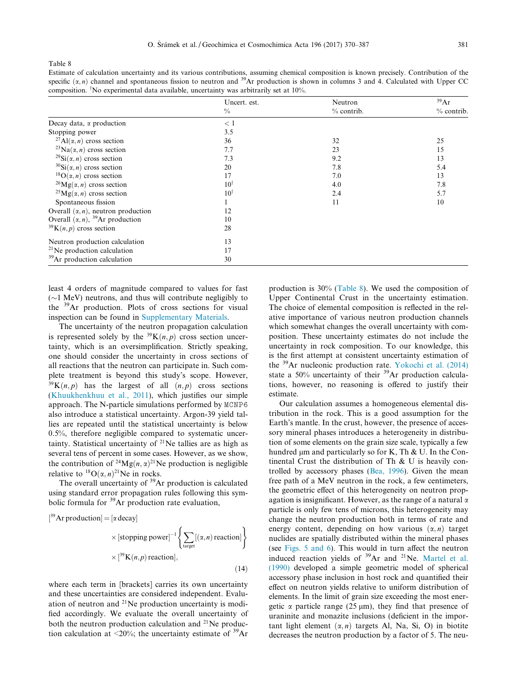|                                                       | Uncert. est.   | Neutron    | 39Ar         |
|-------------------------------------------------------|----------------|------------|--------------|
|                                                       | $\frac{0}{0}$  | % contrib. | $%$ contrib. |
| Decay data, $\alpha$ production                       | < 1            |            |              |
| Stopping power                                        | 3.5            |            |              |
| <sup>27</sup> Al( $\alpha$ , <i>n</i> ) cross section | 36             | 32         | 25           |
| <sup>23</sup> Na( $\alpha$ , <i>n</i> ) cross section | 7.7            | 23         | 15           |
| <sup>29</sup> Si( $\alpha$ , <i>n</i> ) cross section | 7.3            | 9.2        | 13           |
| $30$ Si( $\alpha$ , <i>n</i> ) cross section          | 20             | 7.8        | 5.4          |
| <sup>18</sup> $O(\alpha, n)$ cross section            | 17             | 7.0        | 13           |
| <sup>26</sup> Mg( $\alpha$ , <i>n</i> ) cross section | $10^{\dagger}$ | 4.0        | 7.8          |
| <sup>25</sup> Mg( $\alpha$ , <i>n</i> ) cross section | $10^{\dagger}$ | 2.4        | 5.7          |
| Spontaneous fission                                   |                | 11         | 10           |
| Overall $(\alpha, n)$ , neutron production            | 12             |            |              |
| Overall $(\alpha, n)$ , <sup>39</sup> Ar production   | 10             |            |              |
| $39K(n, p)$ cross section                             | 28             |            |              |
| Neutron production calculation                        | 13             |            |              |
| $^{21}$ Ne production calculation                     | 17             |            |              |
| <sup>39</sup> Ar production calculation               | 30             |            |              |

<span id="page-11-0"></span>Estimate of calculation uncertainty and its various contributions, assuming chemical composition is known precisely. Contribution of the specific  $(\alpha, n)$  channel and spontaneous fission to neutron and <sup>39</sup>Ar production is shown in columns 3 and 4. Calculated with Upper CC composition. <sup>T</sup>No experimental data available, uncertainty was arbitrarily set at 10%.

least 4 orders of magnitude compared to values for fast  $(\sim)$  MeV) neutrons, and thus will contribute negligibly to the <sup>39</sup>Ar production. Plots of cross sections for visual inspection can be found in [Supplementary Materials.](#page-15-0)

The uncertainty of the neutron propagation calculation is represented solely by the  ${}^{39}K(n,p)$  cross section uncertainty, which is an oversimplification. Strictly speaking, one should consider the uncertainty in cross sections of all reactions that the neutron can participate in. Such complete treatment is beyond this study's scope. However,  $39K(n, p)$  has the largest of all  $(n, p)$  cross sections [\(Khuukhenkhuu et al., 2011](#page-16-0)), which justifies our simple approach. The N-particle simulations performed by MCNP6 also introduce a statistical uncertainty. Argon-39 yield tallies are repeated until the statistical uncertainty is below 0.5%, therefore negligible compared to systematic uncertainty. Statistical uncertainty of  $2^{1}$ Ne tallies are as high as several tens of percent in some cases. However, as we show, the contribution of <sup>24</sup>Mg $(n, \alpha)^{21}$ Ne production is negligible relative to  ${}^{18}O(\alpha, n)^{21}$ Ne in rocks.

The overall uncertainty of <sup>39</sup>Ar production is calculated using standard error propagation rules following this symbolic formula for  $39$ Ar production rate evaluation,

[39Ar production] = 
$$
[\alpha \text{ decay}]
$$
  
\n $\times [\text{stopping power}]^{-1} \left\{ \sum_{\text{target}} [(\alpha, n) \text{ reaction}] \right\}$   
\n $\times [39 \text{K}(n, p) \text{ reaction}],$  (14)

where each term in [brackets] carries its own uncertainty and these uncertainties are considered independent. Evaluation of neutron and  $2^{1}$ Ne production uncertainty is modified accordingly. We evaluate the overall uncertainty of both the neutron production calculation and  $21$ Ne production calculation at <20%; the uncertainty estimate of  $39\text{Ar}$ 

production is 30% (Table 8). We used the composition of Upper Continental Crust in the uncertainty estimation. The choice of elemental composition is reflected in the relative importance of various neutron production channels which somewhat changes the overall uncertainty with composition. These uncertainty estimates do not include the uncertainty in rock composition. To our knowledge, this is the first attempt at consistent uncertainty estimation of the 39Ar nucleonic production rate. [Yokochi et al. \(2014\)](#page-17-0) state a 50% uncertainty of their  $39$ Ar production calculations, however, no reasoning is offered to justify their estimate.

Our calculation assumes a homogeneous elemental distribution in the rock. This is a good assumption for the Earth's mantle. In the crust, however, the presence of accessory mineral phases introduces a heterogeneity in distribution of some elements on the grain size scale, typically a few hundred  $\mu$ m and particularly so for K, Th & U. In the Continental Crust the distribution of Th & U is heavily controlled by accessory phases [\(Bea, 1996](#page-15-0)). Given the mean free path of a MeV neutron in the rock, a few centimeters, the geometric effect of this heterogeneity on neutron propagation is insignificant. However, as the range of a natural  $\alpha$ particle is only few tens of microns, this heterogeneity may change the neutron production both in terms of rate and energy content, depending on how various  $(\alpha, n)$  target nuclides are spatially distributed within the mineral phases (see [Figs. 5 and 6\)](#page-7-0). This would in turn affect the neutron induced reaction yields of <sup>39</sup>Ar and <sup>21</sup>Ne. [Martel et al.](#page-16-0) [\(1990\)](#page-16-0) developed a simple geometric model of spherical accessory phase inclusion in host rock and quantified their effect on neutron yields relative to uniform distribution of elements. In the limit of grain size exceeding the most energetic  $\alpha$  particle range (25  $\mu$ m), they find that presence of uraninite and monazite inclusions (deficient in the important light element  $(\alpha, n)$  targets Al, Na, Si, O) in biotite decreases the neutron production by a factor of 5. The neu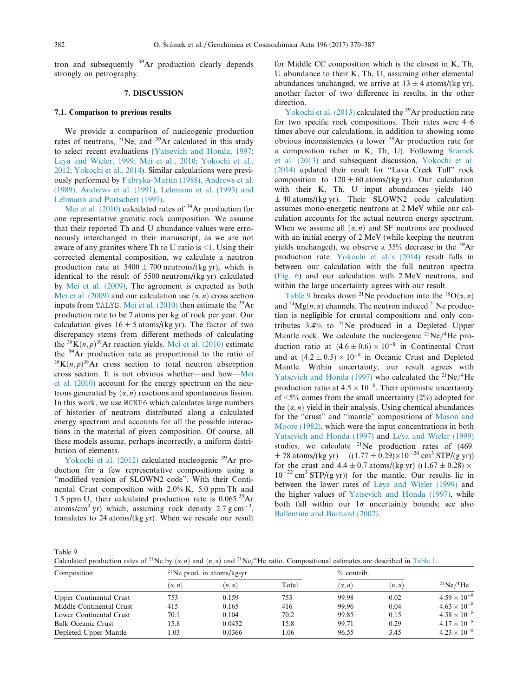<span id="page-12-0"></span>tron and subsequently 39Ar production clearly depends strongly on petrography.

# 7. DISCUSSION

# 7.1. Comparison to previous results

We provide a comparison of nucleogenic production rates of neutrons,  $^{21}$ Ne, and  $^{39}$ Ar calculated in this study to select recent evaluations ([Yatsevich and Honda, 1997;](#page-17-0) [Leya and Wieler, 1999; Mei et al., 2010; Yokochi et al.,](#page-17-0) [2012; Yokochi et al., 2014](#page-17-0)). Similar calculations were previously performed by [Fabryka-Martin \(1988\), Andrews et al.](#page-15-0) [\(1989\), Andrews et al. \(1991\), Lehmann et al. \(1993\) and](#page-15-0) [Lehmann and Purtschert \(1997\)](#page-15-0).

[Mei et al. \(2010\)](#page-16-0) calculated rates of  $39$ Ar production for one representative granitic rock composition. We assume that their reported Th and U abundance values were erroneously interchanged in their manuscript, as we are not aware of any granites where Th to U ratio is <1. Using their corrected elemental composition, we calculate a neutron production rate at  $5400 \pm 700$  neutrons/(kg yr), which is identical to the result of 5500 neutrons/(kg yr) calculated by [Mei et al. \(2009\).](#page-16-0) The agreement is expected as both [Mei et al. \(2009\)](#page-16-0) and our calculation use  $(\alpha, n)$  cross section inputs from TALYS. Mei et al.  $(2010)$  then estimate the <sup>39</sup>Ar production rate to be 7 atoms per kg of rock per year. Our calculation gives  $16 \pm 5$  atoms/(kg yr). The factor of two discrepancy stems from different methods of calculating the <sup>39</sup>K $(n, p)$ <sup>39</sup>Ar reaction yields. [Mei et al. \(2010\)](#page-16-0) estimate the 39Ar production rate as proportional to the ratio of  $39K(n, p)^{39}$ Ar cross section to total neutron absorption cross section. It is not obvious whether—and how—[Mei](#page-16-0) [et al. \(2010\)](#page-16-0) account for the energy spectrum on the neutrons generated by  $(\alpha, n)$  reactions and spontaneous fission. In this work, we use MCNP6 which calculates large numbers of histories of neutrons distributed along a calculated energy spectrum and accounts for all the possible interactions in the material of given composition. Of course, all these models assume, perhaps incorrectly, a uniform distribution of elements.

[Yokochi et al. \(2012\)](#page-17-0) calculated nucleogenic <sup>39</sup>Ar production for a few representative compositions using a "modified version of SLOWN2 code". With their Continental Crust composition with 2.0% K, 5.0 ppm Th and 1.5 ppm U, their calculated production rate is 0.065 39Ar atoms/cm<sup>3</sup> yr) which, assuming rock density 2.7 g cm<sup>-3</sup>, translates to 24 atoms/(kg yr). When we rescale our result for Middle CC composition which is the closest in K, Th, U abundance to their K, Th, U, assuming other elemental abundances unchanged, we arrive at  $13 \pm 4$  atoms/(kg yr), another factor of two difference in results, in the other direction.

[Yokochi et al. \(2013\)](#page-17-0) calculated the <sup>39</sup>Ar production rate for two specific rock compositions. Their rates were 4–6 times above our calculations, in addition to showing some obvious inconsistencies (a lower 39Ar production rate for a composition richer in K, Th, U). Following  $\tilde{S}$ rámek [et al. \(2013\)](#page-16-0) and subsequent discussion, [Yokochi et al.](#page-17-0) [\(2014\)](#page-17-0) updated their result for ''Lava Creek Tuff" rock composition to  $120 \pm 60$  atoms/(kg yr). Our calculation with their K, Th, U input abundances yields 140  $\pm$  40 atoms/(kg yr). Their SLOWN2 code calculation assumes mono-energetic neutrons at 2 MeV while our calculation accounts for the actual neutron energy spectrum. When we assume all  $(\alpha, n)$  and SF neutrons are produced with an initial energy of 2 MeV (while keeping the neutron yields unchanged), we observe a  $35\%$  decrease in the  $39\text{Ar}$ production rate. [Yokochi et al.'s \(2014\)](#page-17-0) result falls in between our calculation with the full neutron spectra ([Fig. 6](#page-7-0)) and our calculation with 2 MeV neutrons, and within the large uncertainty agrees with our result.

Table 9 breaks down <sup>21</sup>Ne production into the <sup>18</sup>O( $\alpha$ , *n*) and <sup>24</sup>Mg $(n, \alpha)$  channels. The neutron induced <sup>21</sup>Ne production is negligible for crustal compositions and only contributes 3.4% to 21Ne produced in a Depleted Upper Mantle rock. We calculate the nucleogenic  $21Ne/4He$  production ratio at  $(4.6 \pm 0.6) \times 10^{-8}$  in Continental Crust and at  $(4.2 \pm 0.5) \times 10^{-8}$  in Oceanic Crust and Depleted Mantle. Within uncertainty, our result agrees with [Yatsevich and Honda \(1997\)](#page-17-0) who calculated the  $^{21}Ne/^{4}He$ production ratio at  $4.5 \times 10^{-8}$ . Their optimistic uncertainty of  $\leq$ 5% comes from the small uncertainty (2%) adopted for the  $(\alpha, n)$  yield in their analysis. Using chemical abundances for the ''crust" and ''mantle" compositions of [Mason and](#page-16-0) [Moore \(1982\)](#page-16-0), which were the input concentrations in both [Yatsevich and Honda \(1997\)](#page-17-0) and [Leya and Wieler \(1999\)](#page-16-0) studies, we calculate <sup>21</sup>Ne production rates of (469)  $\pm$  78 atoms/(kg yr) ((1.77  $\pm$  0.29) $\times$ 10<sup>-20</sup> cm<sup>3</sup> STP/(g yr)) for the crust and  $4.4 \pm 0.7$  atoms/(kg yr) ((1.67  $\pm$  0.28)  $\times$  $10^{-22}$  cm<sup>3</sup> STP/(g yr)) for the mantle. Our results lie in between the lower rates of [Leya and Wieler \(1999\)](#page-16-0) and the higher values of [Yatsevich and Honda \(1997\)](#page-17-0), while both fall within our  $1\sigma$  uncertainty bounds; see also [Ballentine and Burnard \(2002\).](#page-15-0)

Calculated production rates of <sup>21</sup>Ne by  $(\alpha, n)$  and  $(n, \alpha)$  and <sup>21</sup>Ne/<sup>4</sup>He ratio. Compositional estimates are described in [Table 1](#page-3-0).

| Composition                    |               | <sup>21</sup> Ne prod. in atoms/kg-yr |       | $%$ contrib.  |               |                             |
|--------------------------------|---------------|---------------------------------------|-------|---------------|---------------|-----------------------------|
|                                | $(\alpha, n)$ | $(n, \alpha)$                         | Total | $(\alpha, n)$ | $(n, \alpha)$ | $^{21}$ Ne/ <sup>4</sup> He |
| <b>Upper Continental Crust</b> | 753           | 0.159                                 | 753   | 99.98         | 0.02          | $4.59 \times 10^{-8}$       |
| Middle Continental Crust       | 415           | 0.165                                 | 416   | 99.96         | 0.04          | $4.63 \times 10^{-8}$       |
| Lower Continental Crust        | 70.1          | 0.104                                 | 70.2  | 99.85         | 0.15          | $4.58 \times 10^{-8}$       |
| <b>Bulk Oceanic Crust</b>      | 15.8          | 0.0452                                | 15.8  | 99.71         | 0.29          | $4.17 \times 10^{-8}$       |
| Depleted Upper Mantle          | 1.03          | 0.0366                                | 1.06  | 96.55         | 3.45          | $4.23 \times 10^{-8}$       |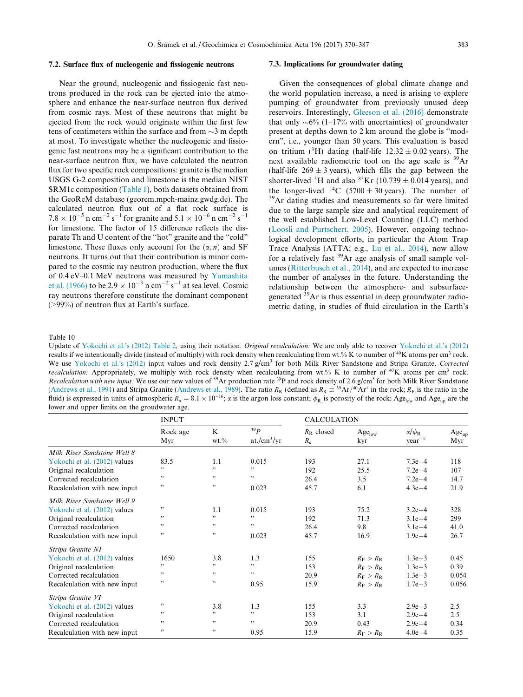#### <span id="page-13-0"></span>7.2. Surface flux of nucleogenic and fissiogenic neutrons

Near the ground, nucleogenic and fissiogenic fast neutrons produced in the rock can be ejected into the atmosphere and enhance the near-surface neutron flux derived from cosmic rays. Most of these neutrons that might be ejected from the rock would originate within the first few tens of centimeters within the surface and from  $\sim$ 3 m depth at most. To investigate whether the nucleogenic and fissiogenic fast neutrons may be a significant contribution to the near-surface neutron flux, we have calculated the neutron flux for two specific rock compositions: granite is the median USGS G-2 composition and limestone is the median NIST SRM1c composition [\(Table 1](#page-3-0)), both datasets obtained from the GeoReM database (georem.mpch-mainz.gwdg.de). The calculated neutron flux out of a flat rock surface is  $7.8 \times 10^{-5}$  n cm<sup>-2</sup> s<sup>-1</sup> for granite and  $5.1 \times 10^{-6}$  n cm<sup>-2</sup> s<sup>-1</sup> for limestone. The factor of 15 difference reflects the disparate Th and U content of the ''hot" granite and the ''cold" limestone. These fluxes only account for the  $(\alpha, n)$  and SF neutrons. It turns out that their contribution is minor compared to the cosmic ray neutron production, where the flux of 0.4 eV–0.1 MeV neutrons was measured by [Yamashita](#page-17-0) [et al. \(1966\)](#page-17-0) to be  $2.9 \times 10^{-3}$  n cm<sup>-2</sup> s<sup>-1</sup> at sea level. Cosmic ray neutrons therefore constitute the dominant component (>99%) of neutron flux at Earth's surface.

## 7.3. Implications for groundwater dating

Given the consequences of global climate change and the world population increase, a need is arising to explore pumping of groundwater from previously unused deep reservoirs. Interestingly, [Gleeson et al. \(2016\)](#page-15-0) demonstrate that only  $\sim 6\%$  (1–17% with uncertainties) of groundwater present at depths down to 2 km around the globe is ''modern", i.e., younger than 50 years. This evaluation is based on tritium ( ${}^{3}H$ ) dating (half-life 12.32  $\pm$  0.02 years). The next available radiometric tool on the age scale is 39Ar (half-life  $269 \pm 3$  years), which fills the gap between the shorter-lived <sup>3</sup>H and also <sup>85</sup>Kr (10.739  $\pm$  0.014 years), and the longer-lived <sup>14</sup>C (5700  $\pm$  30 years). The number of <sup>39</sup>Ar dating studies and measurements so far were limited due to the large sample size and analytical requirement of the well established Low-Level Counting (LLC) method [\(Loosli and Purtschert, 2005](#page-16-0)). However, ongoing technological development efforts, in particular the Atom Trap Trace Analysis (ATTA; e.g., [Lu et al., 2014](#page-16-0)), now allow for a relatively fast 39Ar age analysis of small sample volumes [\(Ritterbusch et al., 2014](#page-16-0)), and are expected to increase the number of analyses in the future. Understanding the relationship between the atmosphere- and subsurfacegenerated  $\frac{39}{9}$ Ar is thus essential in deep groundwater radiometric dating, in studies of fluid circulation in the Earth's

Update of [Yokochi et al.'s \(2012\)](#page-17-0) [Table 2](#page-4-0), using their notation. Original recalculation: We are only able to recover [Yokochi et al.'s \(2012\)](#page-17-0) results if we intentionally divide (instead of multiply) with rock density when recalculating from wt.% K to number of  $40K$  atoms per cm<sup>3</sup> rock. We use [Yokochi et al.'s \(2012\)](#page-17-0) input values and rock density 2.7 g/cm<sup>3</sup> for both Milk River Sandstone and Stripa Granite. Corrected recalculation: Appropriately, we multiply with rock density when recalculating from wt.% K to number of  $^{40}$ K atoms per cm<sup>3</sup> rock. Recalculation with new input: We use our new values of  $39$ Ar production rate  $39$ P and rock density of 2.6 g/cm<sup>3</sup> for both Milk River Sandstone ([Andrews et al., 1991\)](#page-15-0) and Stripa Granite ([Andrews et al., 1989\)](#page-15-0). The ratio R<sub>R</sub> (defined as  $R_R \equiv {}^{39}Ar/{}^{40}Ar^*$  in the rock; R<sub>F</sub> is the ratio in the fluid) is expressed in units of atmospheric  $R_a = 8.1 \times 10^{-16}$ ;  $\alpha$  is the argon loss constant;  $\phi_R$  is porosity of the rock; Age<sub>low</sub> and Age<sub>up</sub> are the lower and upper limits on the groudwater age.

|                              | <b>INPUT</b>    |                     |                                | <b>CALCULATION</b>    |                         |                                   |                   |
|------------------------------|-----------------|---------------------|--------------------------------|-----------------------|-------------------------|-----------------------------------|-------------------|
|                              | Rock age<br>Myr | $\bf K$<br>$wt. \%$ | 39p<br>at./cm <sup>3</sup> /yr | $R_R$ closed<br>$R_a$ | $Age_{low}$<br>kyr      | $\alpha/\phi_{\rm R}$<br>$year-1$ | $Age_{up}$<br>Myr |
| Milk River Sandstone Well 8  |                 |                     |                                |                       |                         |                                   |                   |
| Yokochi et al. (2012) values | 83.5            | 1.1                 | 0.015                          | 193                   | 27.1                    | $7.3e - 4$                        | 118               |
| Original recalculation       |                 | , ,                 | , 2, 3                         | 192                   | 25.5                    | $7.2e - 4$                        | 107               |
| Corrected recalculation      | 55              | , 2                 | , ,                            | 26.4                  | 3.5                     | $7.2e - 4$                        | 14.7              |
| Recalculation with new input | , 2, 3          | , 2, 3              | 0.023                          | 45.7                  | 6.1                     | $4.3e-4$                          | 21.9              |
| Milk River Sandstone Well 9  |                 |                     |                                |                       |                         |                                   |                   |
| Yokochi et al. (2012) values | 99              | 1.1                 | 0.015                          | 193                   | 75.2                    | $3.2e - 4$                        | 328               |
| Original recalculation       | ,,              | , 2, 3              | 55                             | 192                   | 71.3                    | $3.1e-4$                          | 299               |
| Corrected recalculation      | ,,              | , ,                 | , ,                            | 26.4                  | 9.8                     | $3.1e-4$                          | 41.0              |
| Recalculation with new input | ,,              | , ,                 | 0.023                          | 45.7                  | 16.9                    | $1.9e - 4$                        | 26.7              |
| Stripa Granite NI            |                 |                     |                                |                       |                         |                                   |                   |
| Yokochi et al. (2012) values | 1650            | 3.8                 | 1.3                            | 155                   | $R_{\rm F} > R_{\rm R}$ | $1.3e-3$                          | 0.45              |
| Original recalculation       | ,,              | , ,                 | , 2                            | 153                   | $R_{\rm F} > R_{\rm R}$ | $1.3e-3$                          | 0.39              |
| Corrected recalculation      | 99              | ,,                  | , 2, 3                         | 20.9                  | $R_{\rm F} > R_{\rm R}$ | $1.3e-3$                          | 0.054             |
| Recalculation with new input | , 2, 3          | , 2, 3              | 0.95                           | 15.9                  | $R_{\rm F} > R_{\rm R}$ | $1.7e - 3$                        | 0.056             |
| Stripa Granite VI            |                 |                     |                                |                       |                         |                                   |                   |
| Yokochi et al. (2012) values | ,,              | 3.8                 | 1.3                            | 155                   | 3.3                     | $2.9e - 3$                        | 2.5               |
| Original recalculation       | , 2, 3          | , ,                 | , 2, 3                         | 153                   | 3.1                     | $2.9e - 4$                        | 2.5               |
| Corrected recalculation      | ,,              | , ,                 | 55                             | 20.9                  | 0.43                    | $2.9e - 4$                        | 0.34              |
| Recalculation with new input | "               | , ,                 | 0.95                           | 15.9                  | $R_{\rm F} > R_{\rm R}$ | $4.0e - 4$                        | 0.35              |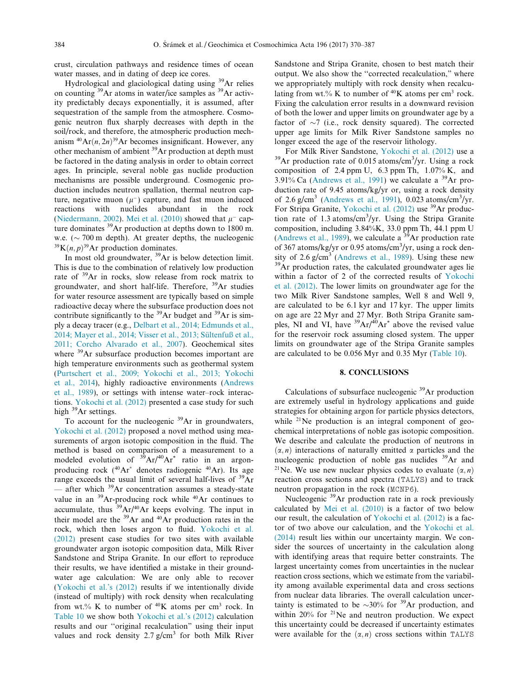<span id="page-14-0"></span>crust, circulation pathways and residence times of ocean water masses, and in dating of deep ice cores.

Hydrological and glaciological dating using 39Ar relies on counting <sup>39</sup>Ar atoms in water/ice samples as <sup>39</sup>Ar activity predictably decays exponentially, it is assumed, after sequestration of the sample from the atmosphere. Cosmogenic neutron flux sharply decreases with depth in the soil/rock, and therefore, the atmospheric production mechanism  ${}^{40}Ar(n, 2n)^{39}Ar$  becomes insignificant. However, any other mechanism of ambient 39Ar production at depth must be factored in the dating analysis in order to obtain correct ages. In principle, several noble gas nuclide production mechanisms are possible underground. Cosmogenic production includes neutron spallation, thermal neutron capture, negative muon  $(\mu^{-})$  capture, and fast muon induced reactions with nuclides abundant in the rock ([Niedermann, 2002\)](#page-16-0). [Mei et al. \(2010\)](#page-16-0) showed that  $u^-$  capture dominates <sup>39</sup>Ar production at depths down to 1800 m. w.e. ( $\sim$  700 m depth). At greater depths, the nucleogenic <sup>39</sup>K(*n*, *p*)<sup>39</sup>Ar production dominates.

In most old groundwater, <sup>39</sup>Ar is below detection limit. This is due to the combination of relatively low production rate of 39Ar in rocks, slow release from rock matrix to groundwater, and short half-life. Therefore, 39Ar studies for water resource assessment are typically based on simple radioactive decay where the subsurface production does not contribute significantly to the <sup>39</sup>Ar budget and <sup>39</sup>Ar is simply a decay tracer (e.g., [Delbart et al., 2014; Edmunds et al.,](#page-15-0) 2014; Mayer et al., 2014; Visser et al., 2013; Sültenfuß et al., [2011; Corcho Alvarado et al., 2007\)](#page-15-0). Geochemical sites where <sup>39</sup>Ar subsurface production becomes important are high temperature environments such as geothermal system ([Purtschert et al., 2009; Yokochi et al., 2013; Yokochi](#page-16-0) [et al., 2014](#page-16-0)), highly radioactive environments ([Andrews](#page-15-0) [et al., 1989\)](#page-15-0), or settings with intense water–rock interactions. [Yokochi et al. \(2012\)](#page-17-0) presented a case study for such high <sup>39</sup>Ar settings.

To account for the nucleogenic <sup>39</sup>Ar in groundwaters, [Yokochi et al. \(2012\)](#page-17-0) proposed a novel method using measurements of argon isotopic composition in the fluid. The method is based on comparison of a measurement to a modeled evolution of  $39^3Ar^{40}Ar^*$  ratio in an argonproducing rock  $(^{40}Ar^*$  denotes radiogenic  $^{40}Ar$ ). Its age range exceeds the usual limit of several half-lives of <sup>39</sup>Ar — after which 39Ar concentration assumes a steady-state value in an  $39$ Ar-producing rock while  $40$ Ar continues to accumulate, thus  $39Ar^{40}Ar$  keeps evolving. The input in their model are the  $39$ Ar and  $40$ Ar production rates in the rock, which then loses argon to fluid. [Yokochi et al.](#page-17-0) [\(2012\)](#page-17-0) present case studies for two sites with available groundwater argon isotopic composition data, Milk River Sandstone and Stripa Granite. In our effort to reproduce their results, we have identified a mistake in their groundwater age calculation: We are only able to recover ([Yokochi et al.'s \(2012\)](#page-17-0) results if we intentionally divide (instead of multiply) with rock density when recalculating from wt.% K to number of  $40K$  atoms per cm<sup>3</sup> rock. In [Table 10](#page-13-0) we show both [Yokochi et al.'s \(2012\)](#page-17-0) calculation results and our ''original recalculation" using their input values and rock density  $2.7 \text{ g/cm}^3$  for both Milk River

Sandstone and Stripa Granite, chosen to best match their output. We also show the ''corrected recalculation," where we appropriately multiply with rock density when recalculating from wt.% K to number of  $40K$  atoms per cm<sup>3</sup> rock. Fixing the calculation error results in a downward revision of both the lower and upper limits on groundwater age by a factor of  $\sim$ 7 (i.e., rock density squared). The corrected upper age limits for Milk River Sandstone samples no longer exceed the age of the reservoir lithology.

For Milk River Sandstone, [Yokochi et al. \(2012\)](#page-17-0) use a 39Ar production rate of 0.015 atoms/cm<sup>3</sup>/yr. Using a rock composition of 2.4 ppm U, 6.3 ppm Th,  $1.07\%$  K, and 3.91% Ca ([Andrews et al., 1991](#page-15-0)) we calculate a  $39$ Ar production rate of 9.45 atoms/kg/yr or, using a rock density of 2.6 g/cm<sup>3</sup> ([Andrews et al., 1991\)](#page-15-0), 0.023 atoms/cm<sup>3</sup>/yr. For Stripa Granite, [Yokochi et al. \(2012\)](#page-17-0) use 39Ar production rate of 1.3 atoms/cm<sup>3</sup>/yr. Using the Stripa Granite composition, including 3.84%K, 33.0 ppm Th, 44.1 ppm U ([Andrews et al., 1989\)](#page-15-0), we calculate a  $39$ Ar production rate of 367 atoms/kg/yr or 0.95 atoms/cm<sup>3</sup>/yr, using a rock den-sity of 2.6 g/cm<sup>3</sup> [\(Andrews et al., 1989](#page-15-0)). Using these new  $\frac{39}{2}$ Ar production rates, the calculated groundwater ages lie within a factor of 2 of the corrected results of [Yokochi](#page-17-0) [et al. \(2012\)](#page-17-0). The lower limits on groundwater age for the two Milk River Sandstone samples, Well 8 and Well 9, are calculated to be 6.1 kyr and 17 kyr. The upper limits on age are 22 Myr and 27 Myr. Both Stripa Granite samples, NI and VI, have  ${}^{39}Ar/{}^{40}Ar^*$  above the revised value for the reservoir rock assuming closed system. The upper limits on groundwater age of the Stripa Granite samples are calculated to be 0.056 Myr and 0.35 Myr ([Table 10](#page-13-0)).

## 8. CONCLUSIONS

Calculations of subsurface nucleogenic 39Ar production are extremely useful in hydrology applications and guide strategies for obtaining argon for particle physics detectors, while  $2^{1}$ Ne production is an integral component of geochemical interpretations of noble gas isotopic composition. We describe and calculate the production of neutrons in  $(\alpha, n)$  interactions of naturally emitted  $\alpha$  particles and the nucleogenic production of noble gas nuclides 39Ar and <sup>21</sup>Ne. We use new nuclear physics codes to evaluate  $(\alpha, n)$ reaction cross sections and spectra (TALYS) and to track neutron propagation in the rock (MCNP6).

Nucleogenic <sup>39</sup>Ar production rate in a rock previously calculated by [Mei et al. \(2010\)](#page-16-0) is a factor of two below our result, the calculation of [Yokochi et al. \(2012\)](#page-17-0) is a factor of two above our calculation, and the [Yokochi et al.](#page-17-0) [\(2014\)](#page-17-0) result lies within our uncertainty margin. We consider the sources of uncertainty in the calculation along with identifying areas that require better constraints. The largest uncertainty comes from uncertainties in the nuclear reaction cross sections, which we estimate from the variability among available experimental data and cross sections from nuclear data libraries. The overall calculation uncertainty is estimated to be  $\sim 30\%$  for <sup>39</sup>Ar production, and within  $20\%$  for  $2^{1}$ Ne and neutron production. We expect this uncertainty could be decreased if uncertainty estimates were available for the  $(\alpha, n)$  cross sections within TALYS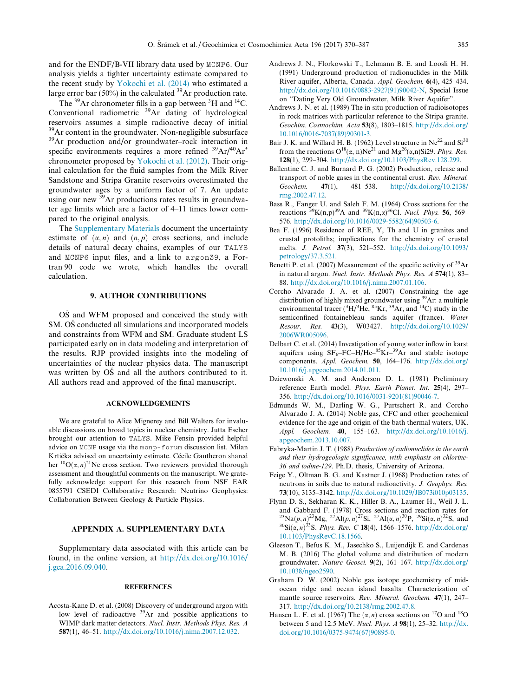<span id="page-15-0"></span>and for the ENDF/B-VII library data used by MCNP6. Our analysis yields a tighter uncertainty estimate compared to the recent study by [Yokochi et al. \(2014\)](#page-17-0) who estimated a large error bar (50%) in the calculated  $^{39}$ Ar production rate.

The  $^{39}$ Ar chronometer fills in a gap between  $^{3}$ H and  $^{14}$ C. Conventional radiometric 39Ar dating of hydrological reservoirs assumes a simple radioactive decay of initial <sup>39</sup>Ar content in the groundwater. Non-negligible subsurface 39Ar production and/or groundwater–rock interaction in specific environments requires a more refined  $^{39}Ar/^{40}Ar^*$ chronometer proposed by [Yokochi et al. \(2012\)](#page-17-0). Their original calculation for the fluid samples from the Milk River Sandstone and Stripa Granite reservoirs overestimated the groundwater ages by a uniform factor of 7. An update using our new  $^{39}$ Ar productions rates results in groundwater age limits which are a factor of 4–11 times lower compared to the original analysis.

The Supplementary Materials document the uncertainty estimate of  $(\alpha, n)$  and  $(n, p)$  cross sections, and include details of natural decay chains, examples of our TALYS and MCNP6 input files, and a link to argon39, a Fortran 90 code we wrote, which handles the overall calculation.

## 9. AUTHOR CONTRIBUTIONS

OS and WFM proposed and conceived the study with SM. OS conducted all simulations and incorporated models and constraints from WFM and SM. Graduate student LS participated early on in data modeling and interpretation of the results. RJP provided insights into the modeling of uncertainties of the nuclear physics data. The manuscript was written by OS and all the authors contributed to it. All authors read and approved of the final manuscript.

#### ACKNOWLEDGEMENTS

We are grateful to Alice Mignerey and Bill Walters for invaluable discussions on broad topics in nuclear chemistry. Jutta Escher brought our attention to TALYS. Mike Fensin provided helpful advice on MCNP usage via the mcnp-forum discussion list. Milan Krtička advised on uncertainty estimate. Cécile Gautheron shared her <sup>18</sup>O( $\alpha$ , *n*)<sup>21</sup>Ne cross section. Two reviewers provided thorough assessment and thoughtful comments on the manuscript. We gratefully acknowledge support for this research from NSF EAR 0855791 CSEDI Collaborative Research: Neutrino Geophysics: Collaboration Between Geology & Particle Physics.

## APPENDIX A. SUPPLEMENTARY DATA

Supplementary data associated with this article can be found, in the online version, at [http://dx.doi.org/10.1016/](http://dx.doi.org/10.1016/j.gca.2016.09.040) [j.gca.2016.09.040.](http://dx.doi.org/10.1016/j.gca.2016.09.040)

#### REFERENCES

Acosta-Kane D. et al. (2008) Discovery of underground argon with low level of radioactive 39Ar and possible applications to WIMP dark matter detectors. Nucl. Instr. Methods Phys. Res. A 587(1), 46–51. <http://dx.doi.org/10.1016/j.nima.2007.12.032>.

- Andrews J. N., Florkowski T., Lehmann B. E. and Loosli H. H. (1991) Underground production of radionuclides in the Milk River aquifer, Alberta, Canada. Appl. Geochem. 6(4), 425–434. [http://dx.doi.org/10.1016/0883-2927\(91\)90042-N,](http://dx.doi.org/10.1016/0883-2927(91)90042-N) Special Issue on ''Dating Very Old Groundwater, Milk River Aquifer".
- Andrews J. N. et al. (1989) The in situ production of radioisotopes in rock matrices with particular reference to the Stripa granite. Geochim. Cosmochim. Acta 53(8), 1803–1815. [http://dx.doi.org/](http://dx.doi.org/10.1016/0016-7037(89)90301-3) [10.1016/0016-7037\(89\)90301-3](http://dx.doi.org/10.1016/0016-7037(89)90301-3).
- Bair J. K. and Willard H. B. (1962) Level structure in  $Ne^{22}$  and  $Si^{30}$ from the reactions  $O^{18}(\alpha, n)Ne^{21}$  and  $Mg^{26}(\alpha, n)Si29$ . Phys. Rev. 128(1), 299–304. [http://dx.doi.org/10.1103/PhysRev.128.299.](http://dx.doi.org/10.1103/PhysRev.128.299)
- Ballentine C. J. and Burnard P. G. (2002) Production, release and transport of noble gases in the continental crust. Rev. Mineral.<br>Geochem.  $47(1)$ ,  $481-538$ . http://dx.doi.org/10.2138/ Geochem. 47(1), 481–538. [http://dx.doi.org/10.2138/](http://dx.doi.org/10.2138/rmg.2002.47.12) [rmg.2002.47.12](http://dx.doi.org/10.2138/rmg.2002.47.12).
- Bass R., Fanger U. and Saleh F. M. (1964) Cross sections for the reactions <sup>39</sup>K(n,p)<sup>39</sup>A and <sup>39</sup>K(n, $\alpha$ )<sup>36</sup>Cl. *Nucl. Phys.* **56**, 569– 576. [http://dx.doi.org/10.1016/0029-5582\(64\)90503-6.](http://dx.doi.org/10.1016/0029-5582(64)90503-6)
- Bea F. (1996) Residence of REE, Y, Th and U in granites and crustal protoliths; implications for the chemistry of crustal melts. J. Petrol. 37(3), 521–552. [http://dx.doi.org/10.1093/](http://dx.doi.org/10.1093/petrology/37.3.521) [petrology/37.3.521.](http://dx.doi.org/10.1093/petrology/37.3.521)
- Benetti P. et al. (2007) Measurement of the specific activity of  $^{39}Ar$ in natural argon. Nucl. Instr. Methods Phys. Res. A 574(1), 83– 88. <http://dx.doi.org/10.1016/j.nima.2007.01.106>.
- Corcho Alvarado J. A. et al. (2007) Constraining the age distribution of highly mixed groundwater using 39Ar: a multiple environmental tracer ( ${}^{3}H/{}^{3}He$ ,  ${}^{85}Kr$ ,  ${}^{39}Ar$ , and  ${}^{14}C$ ) study in the semiconfined fontainebleau sands aquifer (france). Water Resour. Res. 43(3), W03427. [http://dx.doi.org/10.1029/](http://dx.doi.org/10.1029/2006WR005096) [2006WR005096](http://dx.doi.org/10.1029/2006WR005096).
- Delbart C. et al. (2014) Investigation of young water inflow in karst aquifers using  $SF_6-FC-H/He-85Kr-39Ar$  and stable isotope components. Appl. Geochem. 50, 164–176. [http://dx.doi.org/](http://dx.doi.org/10.1016/j.apgeochem.2014.01.011) [10.1016/j.apgeochem.2014.01.011.](http://dx.doi.org/10.1016/j.apgeochem.2014.01.011)
- Dziewonski A. M. and Anderson D. L. (1981) Preliminary reference Earth model. Phys. Earth Planet. Int. 25(4), 297– 356. [http://dx.doi.org/10.1016/0031-9201\(81\)90046-7.](http://dx.doi.org/10.1016/0031-9201(81)90046-7)
- Edmunds W. M., Darling W. G., Purtschert R. and Corcho Alvarado J. A. (2014) Noble gas, CFC and other geochemical evidence for the age and origin of the bath thermal waters, UK. Appl. Geochem. 40, 155–163. [http://dx.doi.org/10.1016/j.](http://dx.doi.org/10.1016/j.apgeochem.2013.10.007) [apgeochem.2013.10.007.](http://dx.doi.org/10.1016/j.apgeochem.2013.10.007)
- Fabryka-Martin J. T. (1988) Production of radionuclides in the earth and their hydrogeologic significance, with emphasis on chlorine-36 and iodine-129. Ph.D. thesis, University of Arizona.
- Feige Y., Oltman B. G. and Kastner J. (1968) Production rates of neutrons in soils due to natural radioactivity. J. Geophys. Res. 73(10), 3135–3142. <http://dx.doi.org/10.1029/JB073i010p03135>.
- Flynn D. S., Sekharan K. K., Hiller B. A., Laumer H., Weil J. L. and Gabbard F. (1978) Cross sections and reaction rates for  $^{23}Na(p, n)^{23}Mg, ^{27}Al(p, n)^{27}Si, ^{27}Al(\alpha, n)^{30}P, ^{29}Si(\alpha, n)^{32}S,$  and  $^{30}$ Si $(\alpha, n)^{33}$ S. *Phys. Rev. C* 18(4), 1566–1576. [http://dx.doi.org/](http://dx.doi.org/10.1103/PhysRevC.18.1566) [10.1103/PhysRevC.18.1566.](http://dx.doi.org/10.1103/PhysRevC.18.1566)
- Gleeson T., Befus K. M., Jasechko S., Luijendijk E. and Cardenas M. B. (2016) The global volume and distribution of modern groundwater. Nature Geosci. 9(2), 161–167. [http://dx.doi.org/](http://dx.doi.org/10.1038/ngeo2590) [10.1038/ngeo2590](http://dx.doi.org/10.1038/ngeo2590).
- Graham D. W. (2002) Noble gas isotope geochemistry of midocean ridge and ocean island basalts: Characterization of mantle source reservoirs. Rev. Mineral. Geochem. 47(1), 247– 317. [http://dx.doi.org/10.2138/rmg.2002.47.8.](http://dx.doi.org/10.2138/rmg.2002.47.8)
- Hansen L. F. et al. (1967) The  $(\alpha, n)$  cross sections on <sup>17</sup>O and <sup>18</sup>O between 5 and 12.5 MeV. Nucl. Phys. A 98(1), 25–32. [http://dx.](http://dx.doi.org/10.1016/0375-9474(67)90895-0) [doi.org/10.1016/0375-9474\(67\)90895-0.](http://dx.doi.org/10.1016/0375-9474(67)90895-0)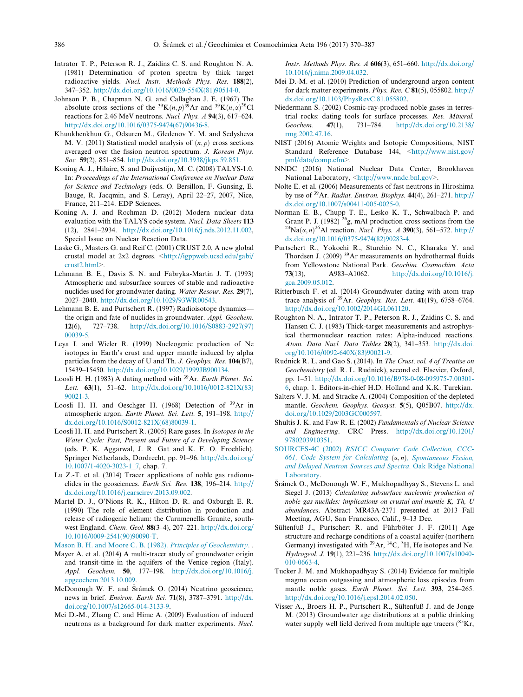- <span id="page-16-0"></span>Intrator T. P., Peterson R. J., Zaidins C. S. and Roughton N. A. (1981) Determination of proton spectra by thick target radioactive yields. Nucl. Instr. Methods Phys. Res. 188(2), 347–352. [http://dx.doi.org/10.1016/0029-554X\(81\)90514-0.](http://dx.doi.org/10.1016/0029-554X(81)90514-0)
- Johnson P. B., Chapman N. G. and Callaghan J. E. (1967) The absolute cross sections of the <sup>39</sup>K $(n, p)$ <sup>39</sup>Ar and <sup>39</sup>K $(n, \alpha)$ <sup>36</sup>Cl reactions for 2.46 MeV neutrons. Nucl. Phys. A 94(3), 617–624. [http://dx.doi.org/10.1016/0375-9474\(67\)90436-8.](http://dx.doi.org/10.1016/0375-9474(67)90436-8)
- Khuukhenkhuu G., Odsuren M., Gledenov Y. M. and Sedysheva M. V. (2011) Statistical model analysis of  $(n, p)$  cross sections averaged over the fission neutron spectrum. J. Korean Phys. Soc. 59(2), 851–854. <http://dx.doi.org/10.3938/jkps.59.851>.
- Koning A. J., Hilaire, S. and Duijvestijn, M. C. (2008) TALYS-1.0. In: Proceedings of the International Conference on Nuclear Data for Science and Technology (eds. O. Bersillon, F. Gunsing, E. Bauge, R. Jacqmin, and S. Leray), April 22–27, 2007, Nice, France, 211–214. EDP Sciences.
- Koning A. J. and Rochman D. (2012) Modern nuclear data evaluation with the TALYS code system. Nucl. Data Sheets 113 (12), 2841–2934. [http://dx.doi.org/10.1016/j.nds.2012.11.002,](http://dx.doi.org/10.1016/j.nds.2012.11.002) Special Issue on Nuclear Reaction Data.
- Laske G., Masters G. and Reif C. (2001) CRUST 2.0, A new global crustal model at 2x2 degrees. [<http://igppweb.ucsd.edu/gabi/](http://igppweb.ucsd.edu/gabi/crust2.html) [crust2.html](http://igppweb.ucsd.edu/gabi/crust2.html)>.
- Lehmann B. E., Davis S. N. and Fabryka-Martin J. T. (1993) Atmospheric and subsurface sources of stable and radioactive nuclides used for groundwater dating. Water Resour. Res. 29(7), 2027–2040. [http://dx.doi.org/10.1029/93WR00543.](http://dx.doi.org/10.1029/93WR00543)
- Lehmann B. E. and Purtschert R. (1997) Radioisotope dynamics the origin and fate of nuclides in groundwater. Appl. Geochem. 12(6), 727–738. [http://dx.doi.org/10.1016/S0883-2927\(97\)](http://dx.doi.org/10.1016/S0883-2927(97)00039-5) [00039-5](http://dx.doi.org/10.1016/S0883-2927(97)00039-5).
- Leya I. and Wieler R. (1999) Nucleogenic production of Ne isotopes in Earth's crust and upper mantle induced by alpha particles from the decay of U and Th. J. Geophys. Res. 104(B7), 15439–15450. [http://dx.doi.org/10.1029/1999JB900134.](http://dx.doi.org/10.1029/1999JB900134)
- Loosli H. H. (1983) A dating method with  $39$ Ar. Earth Planet. Sci. Lett.  $63(1)$ , 51–62. [http://dx.doi.org/10.1016/0012-821X\(83\)](http://dx.doi.org/10.1016/0012-821X(83)90021-3) [90021-3](http://dx.doi.org/10.1016/0012-821X(83)90021-3).
- Loosli H. H. and Oeschger H. (1968) Detection of 39Ar in atmospheric argon. Earth Planet. Sci. Lett. 5, 191–198. [http://](http://dx.doi.org/10.1016/S0012-821X(68)80039-1) [dx.doi.org/10.1016/S0012-821X\(68\)80039-1](http://dx.doi.org/10.1016/S0012-821X(68)80039-1).
- Loosli H. H. and Purtschert R. (2005) Rare gases. In Isotopes in the Water Cycle: Past, Present and Future of a Developing Science (eds. P. K. Aggarwal, J. R. Gat and K. F. O. Froehlich). Springer Netherlands, Dordrecht, pp. 91–96. [http://dx.doi.org/](http://dx.doi.org/10.1007/1-4020-3023-1_7) [10.1007/1-4020-3023-1\\_7](http://dx.doi.org/10.1007/1-4020-3023-1_7), chap. 7.
- Lu Z.-T. et al. (2014) Tracer applications of noble gas radionuclides in the geosciences. Earth Sci. Rev. 138, 196–214. [http://](http://dx.doi.org/10.1016/j.earscirev.2013.09.002) [dx.doi.org/10.1016/j.earscirev.2013.09.002.](http://dx.doi.org/10.1016/j.earscirev.2013.09.002)
- Martel D. J., O'Nions R. K., Hilton D. R. and Oxburgh E. R. (1990) The role of element distribution in production and release of radiogenic helium: the Carnmenellis Granite, southwest England. Chem. Geol. 88(3–4), 207–221. [http://dx.doi.org/](http://dx.doi.org/10.1016/0009-2541(90)90090-T) [10.1016/0009-2541\(90\)90090-T](http://dx.doi.org/10.1016/0009-2541(90)90090-T).

[Mason B. H. and Moore C. B. \(1982\).](http://refhub.elsevier.com/S0016-7037(16)30565-8/h0165) Principles of Geochemistry. .

- Mayer A. et al. (2014) A multi-tracer study of groundwater origin and transit-time in the aquifers of the Venice region (Italy). Appl. Geochem. 50, 177–198. [http://dx.doi.org/10.1016/j.](http://dx.doi.org/10.1016/j.apgeochem.2013.10.009) [apgeochem.2013.10.009](http://dx.doi.org/10.1016/j.apgeochem.2013.10.009).
- McDonough W. F. and Šrámek O. (2014) Neutrino geoscience, news in brief. Environ. Earth Sci. 71(8), 3787–3791. [http://dx.](http://dx.doi.org/10.1007/s12665-014-3133-9) [doi.org/10.1007/s12665-014-3133-9.](http://dx.doi.org/10.1007/s12665-014-3133-9)
- Mei D.-M., Zhang C. and Hime A. (2009) Evaluation of induced neutrons as a background for dark matter experiments. Nucl.

Instr. Methods Phys. Res. A 606(3), 651–660. [http://dx.doi.org/](http://dx.doi.org/10.1016/j.nima.2009.04.032) [10.1016/j.nima.2009.04.032](http://dx.doi.org/10.1016/j.nima.2009.04.032).

- Mei D.-M. et al. (2010) Prediction of underground argon content for dark matter experiments. Phys. Rev. C 81(5), 055802. [http://](http://dx.doi.org/10.1103/PhysRevC.81.055802) [dx.doi.org/10.1103/PhysRevC.81.055802](http://dx.doi.org/10.1103/PhysRevC.81.055802).
- Niedermann S. (2002) Cosmic-ray-produced noble gases in terrestrial rocks: dating tools for surface processes. Rev. Mineral. Geochem. 47(1), 731–784. [http://dx.doi.org/10.2138/](http://dx.doi.org/10.2138/rmg.2002.47.16) [rmg.2002.47.16.](http://dx.doi.org/10.2138/rmg.2002.47.16)
- NIST (2016) Atomic Weights and Isotopic Compositions, NIST Standard Reference Database 144, [<http://www.nist.gov/](http://www.nist.gov/pml/data/comp.cfm) [pml/data/comp.cfm](http://www.nist.gov/pml/data/comp.cfm)>.
- NNDC (2016) National Nuclear Data Center, Brookhaven National Laboratory, <<http://www.nndc.bnl.gov>>.
- Nolte E. et al. (2006) Measurements of fast neutrons in Hiroshima by use of  $39$ Ar. Radiat. Environ. Biophys. 44(4), 261–271. [http://](http://dx.doi.org/10.1007/s00411-005-0025-0) [dx.doi.org/10.1007/s00411-005-0025-0](http://dx.doi.org/10.1007/s00411-005-0025-0).
- Norman E. B., Chupp T. E., Lesko K. T., Schwalbach P. and Grant P. J. (1982)  $^{26}$ g, mAl production cross sections from the  $^{23}Na(\alpha, n)^{26}Al$  reaction. *Nucl. Phys. A* **390**(3), 561–572. [http://](http://dx.doi.org/10.1016/0375-9474(82)90283-4) [dx.doi.org/10.1016/0375-9474\(82\)90283-4.](http://dx.doi.org/10.1016/0375-9474(82)90283-4)
- Purtschert R., Yokochi R., Sturchio N. C., Kharaka Y. and Thordsen J. (2009) 39Ar measurements on hydrothermal fluids from Yellowstone National Park. Geochim. Cosmochim. Acta 73(13), A983–A1062. [http://dx.doi.org/10.1016/j.](http://dx.doi.org/10.1016/j.gca.2009.05.012) [gca.2009.05.012](http://dx.doi.org/10.1016/j.gca.2009.05.012).
- Ritterbusch F. et al. (2014) Groundwater dating with atom trap trace analysis of  $39$ Ar. Geophys. Res. Lett. 41(19), 6758-6764. <http://dx.doi.org/10.1002/2014GL061120>.
- Roughton N. A., Intrator T. P., Peterson R. J., Zaidins C. S. and Hansen C. J. (1983) Thick-target measurements and astrophysical thermonuclear reaction rates: Alpha-induced reactions. Atom. Data Nucl. Data Tables 28(2), 341–353. [http://dx.doi.](http://dx.doi.org/10.1016/0092-640X(83)90021-9) [org/10.1016/0092-640X\(83\)90021-9](http://dx.doi.org/10.1016/0092-640X(83)90021-9).
- Rudnick R. L. and Gao S. (2014). In The Crust, vol. 4 of Treatise on Geochemistry (ed. R. L. Rudnick), second ed. Elsevier, Oxford, pp. 1–51. [http://dx.doi.org/10.1016/B978-0-08-095975-7.00301-](http://dx.doi.org/10.1016/B978-0-08-095975-7.00301-6) [6,](http://dx.doi.org/10.1016/B978-0-08-095975-7.00301-6) chap. 1. Editors-in-chief H.D. Holland and K.K. Turekian.
- Salters V. J. M. and Stracke A. (2004) Composition of the depleted mantle. Geochem. Geophys. Geosyst. 5(5), Q05B07. [http://dx.](http://dx.doi.org/10.1029/2003GC000597) [doi.org/10.1029/2003GC000597](http://dx.doi.org/10.1029/2003GC000597).
- Shultis J. K. and Faw R. E. (2002) Fundamentals of Nuclear Science and Engineering. CRC Press. [http://dx.doi.org/10.1201/](http://dx.doi.org/10.1201/9780203910351) [9780203910351](http://dx.doi.org/10.1201/9780203910351).
- SOURCES-4C (2002) [RSICC Computer Code Collection, CCC-](http://refhub.elsevier.com/S0016-7037(16)30565-8/h0245)[661, Code System for Calculating](http://refhub.elsevier.com/S0016-7037(16)30565-8/h0245)  $(\alpha, n)$ [, Spontaneous Fission,](http://refhub.elsevier.com/S0016-7037(16)30565-8/h0245) [and Delayed Neutron Sources and Spectra](http://refhub.elsevier.com/S0016-7037(16)30565-8/h0245). Oak Ridge National [Laboratory.](http://refhub.elsevier.com/S0016-7037(16)30565-8/h0245)
- Šrámek O., McDonough W. F., Mukhopadhyay S., Stevens L. and Siegel J. (2013) Calculating subsurface nucleonic production of noble gas nuclides: implications on crustal and mantle K, Th, U abundances. Abstract MR43A-2371 presented at 2013 Fall Meeting, AGU, San Francisco, Calif., 9–13 Dec.
- Sültenfuß J., Purtschert R. and Führböter J. F. (2011) Age structure and recharge conditions of a coastal aquifer (northern Germany) investigated with  $^{39}Ar$ ,  $^{14}C$ ,  $^{3}H$ , He isotopes and Ne. Hydrogeol. J. 19(1), 221–236. [http://dx.doi.org/10.1007/s10040-](http://dx.doi.org/10.1007/s10040-010-0663-4) [010-0663-4.](http://dx.doi.org/10.1007/s10040-010-0663-4)
- Tucker J. M. and Mukhopadhyay S. (2014) Evidence for multiple magma ocean outgassing and atmospheric loss episodes from mantle noble gases. Earth Planet. Sci. Lett. 393, 254–265. <http://dx.doi.org/10.1016/j.epsl.2014.02.050>.
- Visser A., Broers H. P., Purtschert R., Sültenfuß J. and de Jonge M. (2013) Groundwater age distributions at a public drinking water supply well field derived from multiple age tracers  $(^{85}Kr,$